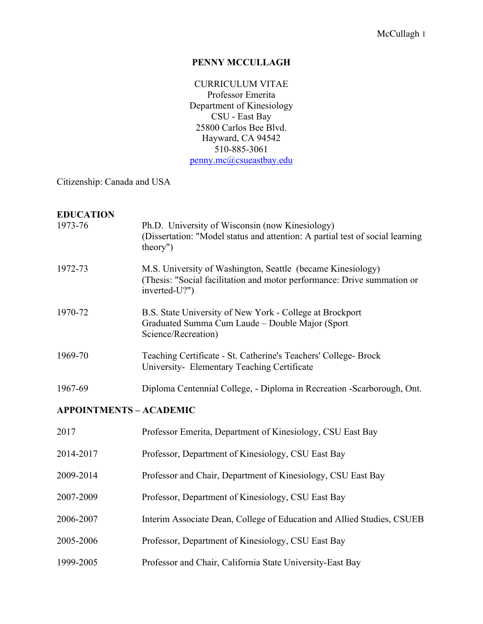## **PENNY MCCULLAGH**

CURRICULUM VITAE Professor Emerita Department of Kinesiology CSU - East Bay 25800 Carlos Bee Blvd. Hayward, CA 94542 510-885-3061 penny.mc@csueastbay.edu

Citizenship: Canada and USA

## **EDUCATION**

| 1973-76                        | Ph.D. University of Wisconsin (now Kinesiology)<br>(Dissertation: "Model status and attention: A partial test of social learning<br>theory")            |
|--------------------------------|---------------------------------------------------------------------------------------------------------------------------------------------------------|
| 1972-73                        | M.S. University of Washington, Seattle (became Kinesiology)<br>(Thesis: "Social facilitation and motor performance: Drive summation or<br>inverted-U?") |
| 1970-72                        | B.S. State University of New York - College at Brockport<br>Graduated Summa Cum Laude – Double Major (Sport)<br>Science/Recreation)                     |
| 1969-70                        | Teaching Certificate - St. Catherine's Teachers' College- Brock<br>University- Elementary Teaching Certificate                                          |
| 1967-69                        | Diploma Centennial College, - Diploma in Recreation - Scarborough, Ont.                                                                                 |
| <b>APPOINTMENTS - ACADEMIC</b> |                                                                                                                                                         |

| 2017      | Professor Emerita, Department of Kinesiology, CSU East Bay             |
|-----------|------------------------------------------------------------------------|
| 2014-2017 | Professor, Department of Kinesiology, CSU East Bay                     |
| 2009-2014 | Professor and Chair, Department of Kinesiology, CSU East Bay           |
| 2007-2009 | Professor, Department of Kinesiology, CSU East Bay                     |
| 2006-2007 | Interim Associate Dean, College of Education and Allied Studies, CSUEB |
| 2005-2006 | Professor, Department of Kinesiology, CSU East Bay                     |
| 1999-2005 | Professor and Chair, California State University-East Bay              |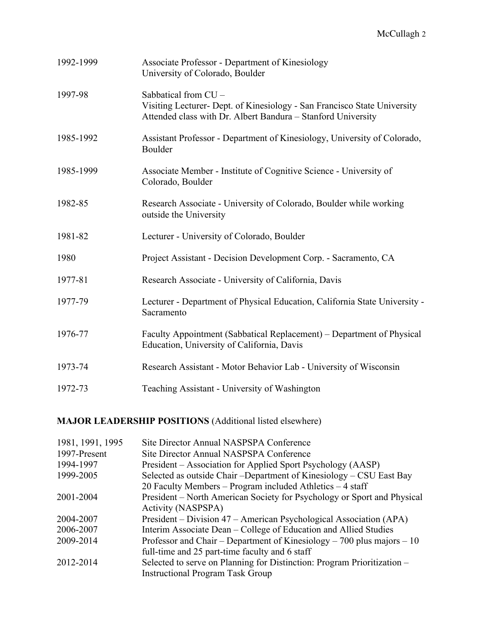| 1992-1999 | <b>Associate Professor - Department of Kinesiology</b><br>University of Colorado, Boulder                                                                        |
|-----------|------------------------------------------------------------------------------------------------------------------------------------------------------------------|
| 1997-98   | Sabbatical from CU -<br>Visiting Lecturer- Dept. of Kinesiology - San Francisco State University<br>Attended class with Dr. Albert Bandura - Stanford University |
| 1985-1992 | Assistant Professor - Department of Kinesiology, University of Colorado,<br>Boulder                                                                              |
| 1985-1999 | Associate Member - Institute of Cognitive Science - University of<br>Colorado, Boulder                                                                           |
| 1982-85   | Research Associate - University of Colorado, Boulder while working<br>outside the University                                                                     |
| 1981-82   | Lecturer - University of Colorado, Boulder                                                                                                                       |
| 1980      | Project Assistant - Decision Development Corp. - Sacramento, CA                                                                                                  |
| 1977-81   | Research Associate - University of California, Davis                                                                                                             |
| 1977-79   | Lecturer - Department of Physical Education, California State University -<br>Sacramento                                                                         |
| 1976-77   | Faculty Appointment (Sabbatical Replacement) – Department of Physical<br>Education, University of California, Davis                                              |
| 1973-74   | Research Assistant - Motor Behavior Lab - University of Wisconsin                                                                                                |
| 1972-73   | Teaching Assistant - University of Washington                                                                                                                    |

# **MAJOR LEADERSHIP POSITIONS** (Additional listed elsewhere)

| Site Director Annual NASPSPA Conference                                 |
|-------------------------------------------------------------------------|
| Site Director Annual NASPSPA Conference                                 |
| President – Association for Applied Sport Psychology (AASP)             |
| Selected as outside Chair -Department of Kinesiology - CSU East Bay     |
| 20 Faculty Members – Program included Athletics – 4 staff               |
| President – North American Society for Psychology or Sport and Physical |
| Activity (NASPSPA)                                                      |
| President – Division 47 – American Psychological Association (APA)      |
| Interim Associate Dean – College of Education and Allied Studies        |
| Professor and Chair – Department of Kinesiology – 700 plus majors – 10  |
| full-time and 25 part-time faculty and 6 staff                          |
| Selected to serve on Planning for Distinction: Program Prioritization - |
| <b>Instructional Program Task Group</b>                                 |
|                                                                         |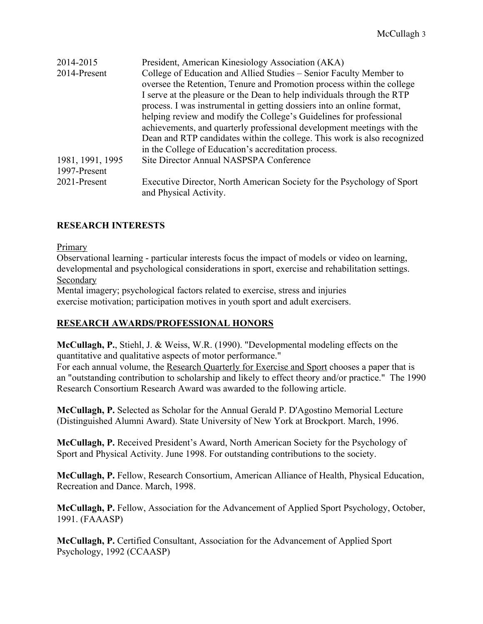| 2014-2015        | President, American Kinesiology Association (AKA)                                                |
|------------------|--------------------------------------------------------------------------------------------------|
| 2014-Present     | College of Education and Allied Studies - Senior Faculty Member to                               |
|                  | oversee the Retention, Tenure and Promotion process within the college                           |
|                  | I serve at the pleasure or the Dean to help individuals through the RTP                          |
|                  | process. I was instrumental in getting dossiers into an online format,                           |
|                  | helping review and modify the College's Guidelines for professional                              |
|                  | achievements, and quarterly professional development meetings with the                           |
|                  | Dean and RTP candidates within the college. This work is also recognized                         |
|                  | in the College of Education's accreditation process.                                             |
| 1981, 1991, 1995 | Site Director Annual NASPSPA Conference                                                          |
| 1997-Present     |                                                                                                  |
| 2021-Present     | Executive Director, North American Society for the Psychology of Sport<br>and Physical Activity. |

## **RESEARCH INTERESTS**

Primary

Observational learning - particular interests focus the impact of models or video on learning, developmental and psychological considerations in sport, exercise and rehabilitation settings. Secondary

Mental imagery; psychological factors related to exercise, stress and injuries exercise motivation; participation motives in youth sport and adult exercisers.

## **RESEARCH AWARDS/PROFESSIONAL HONORS**

**McCullagh, P.**, Stiehl, J. & Weiss, W.R. (1990). "Developmental modeling effects on the quantitative and qualitative aspects of motor performance." For each annual volume, the Research Quarterly for Exercise and Sport chooses a paper that is

an "outstanding contribution to scholarship and likely to effect theory and/or practice." The 1990 Research Consortium Research Award was awarded to the following article.

**McCullagh, P.** Selected as Scholar for the Annual Gerald P. D'Agostino Memorial Lecture (Distinguished Alumni Award). State University of New York at Brockport. March, 1996.

**McCullagh, P.** Received President's Award, North American Society for the Psychology of Sport and Physical Activity. June 1998. For outstanding contributions to the society.

**McCullagh, P.** Fellow, Research Consortium, American Alliance of Health, Physical Education, Recreation and Dance. March, 1998.

**McCullagh, P.** Fellow, Association for the Advancement of Applied Sport Psychology, October, 1991. (FAAASP)

**McCullagh, P.** Certified Consultant, Association for the Advancement of Applied Sport Psychology, 1992 (CCAASP)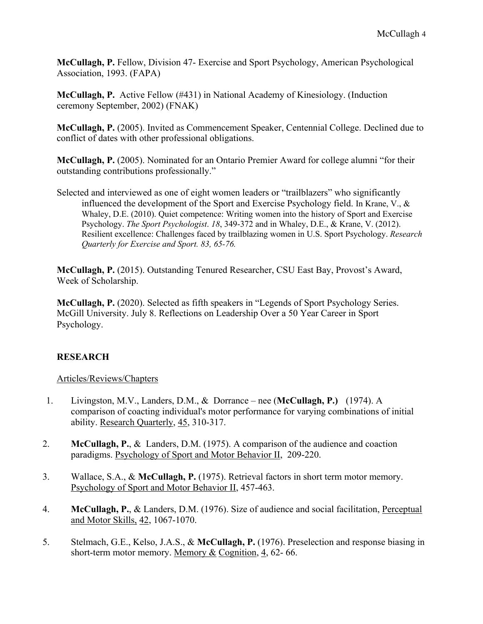**McCullagh, P.** Fellow, Division 47- Exercise and Sport Psychology, American Psychological Association, 1993. (FAPA)

**McCullagh, P.** Active Fellow (#431) in National Academy of Kinesiology. (Induction ceremony September, 2002) (FNAK)

**McCullagh, P.** (2005). Invited as Commencement Speaker, Centennial College. Declined due to conflict of dates with other professional obligations.

**McCullagh, P.** (2005). Nominated for an Ontario Premier Award for college alumni "for their outstanding contributions professionally."

Selected and interviewed as one of eight women leaders or "trailblazers" who significantly influenced the development of the Sport and Exercise Psychology field. In Krane, V., & Whaley, D.E. (2010). Quiet competence: Writing women into the history of Sport and Exercise Psychology. *The Sport Psychologist*. *18*, 349-372 and in Whaley, D.E., & Krane, V. (2012). Resilient excellence: Challenges faced by trailblazing women in U.S. Sport Psychology. *Research Quarterly for Exercise and Sport. 83, 65-76.*

**McCullagh, P.** (2015). Outstanding Tenured Researcher, CSU East Bay, Provost's Award, Week of Scholarship.

**McCullagh, P.** (2020). Selected as fifth speakers in "Legends of Sport Psychology Series. McGill University. July 8. Reflections on Leadership Over a 50 Year Career in Sport Psychology.

## **RESEARCH**

## Articles/Reviews/Chapters

- 1. Livingston, M.V., Landers, D.M., & Dorrance nee (**McCullagh, P.**) (1974). A comparison of coacting individual's motor performance for varying combinations of initial ability. Research Quarterly, 45, 310-317.
- 2. **McCullagh, P.**, & Landers, D.M. (1975). A comparison of the audience and coaction paradigms. Psychology of Sport and Motor Behavior II, 209-220.
- 3. Wallace, S.A., & **McCullagh, P.** (1975). Retrieval factors in short term motor memory. Psychology of Sport and Motor Behavior II, 457-463.
- 4. **McCullagh, P.**, & Landers, D.M. (1976). Size of audience and social facilitation, Perceptual and Motor Skills, 42, 1067-1070.
- 5. Stelmach, G.E., Kelso, J.A.S., & **McCullagh, P.** (1976). Preselection and response biasing in short-term motor memory. Memory & Cognition, 4, 62- 66.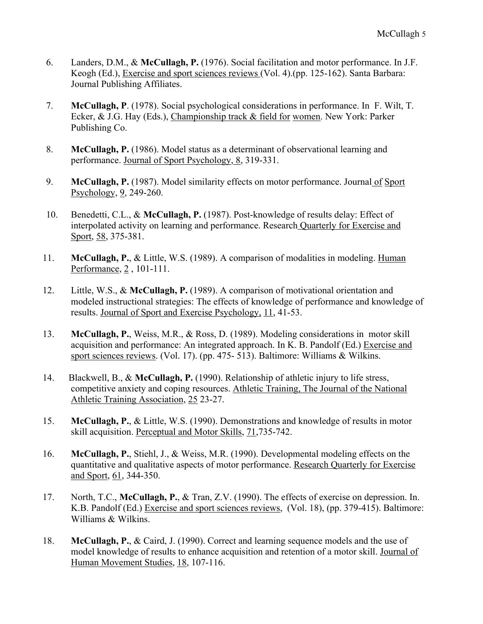- 6. Landers, D.M., & **McCullagh, P.** (1976). Social facilitation and motor performance. In J.F. Keogh (Ed.), Exercise and sport sciences reviews (Vol. 4).(pp. 125-162). Santa Barbara: Journal Publishing Affiliates.
- 7. **McCullagh, P**. (1978). Social psychological considerations in performance. In F. Wilt, T. Ecker, & J.G. Hay (Eds.), Championship track & field for women. New York: Parker Publishing Co.
- 8. **McCullagh, P.** (1986). Model status as a determinant of observational learning and performance. Journal of Sport Psychology, 8, 319-331.
- 9. **McCullagh, P.** (1987). Model similarity effects on motor performance. Journal of Sport Psychology, 9, 249-260.
- 10. Benedetti, C.L., & **McCullagh, P.** (1987). Post-knowledge of results delay: Effect of interpolated activity on learning and performance. Research Quarterly for Exercise and Sport, 58, 375-381.
- 11. **McCullagh, P.**, & Little, W.S. (1989). A comparison of modalities in modeling. Human Performance, 2 , 101-111.
- 12. Little, W.S., & **McCullagh, P.** (1989). A comparison of motivational orientation and modeled instructional strategies: The effects of knowledge of performance and knowledge of results. Journal of Sport and Exercise Psychology, 11, 41-53.
- 13. **McCullagh, P.**, Weiss, M.R., & Ross, D. (1989). Modeling considerations in motor skill acquisition and performance: An integrated approach. In K. B. Pandolf (Ed.) Exercise and sport sciences reviews. (Vol. 17). (pp. 475- 513). Baltimore: Williams & Wilkins.
- 14. Blackwell, B., & **McCullagh, P.** (1990). Relationship of athletic injury to life stress, competitive anxiety and coping resources. Athletic Training, The Journal of the National Athletic Training Association, 25 23-27.
- 15. **McCullagh, P.**, & Little, W.S. (1990). Demonstrations and knowledge of results in motor skill acquisition. Perceptual and Motor Skills, 71,735-742.
- 16. **McCullagh, P.**, Stiehl, J., & Weiss, M.R. (1990). Developmental modeling effects on the quantitative and qualitative aspects of motor performance. Research Quarterly for Exercise and Sport, 61, 344-350.
- 17. North, T.C., **McCullagh, P.**, & Tran, Z.V. (1990). The effects of exercise on depression. In. K.B. Pandolf (Ed.) Exercise and sport sciences reviews, (Vol. 18), (pp. 379-415). Baltimore: Williams & Wilkins.
- 18. **McCullagh, P.**, & Caird, J. (1990). Correct and learning sequence models and the use of model knowledge of results to enhance acquisition and retention of a motor skill. Journal of Human Movement Studies, 18, 107-116.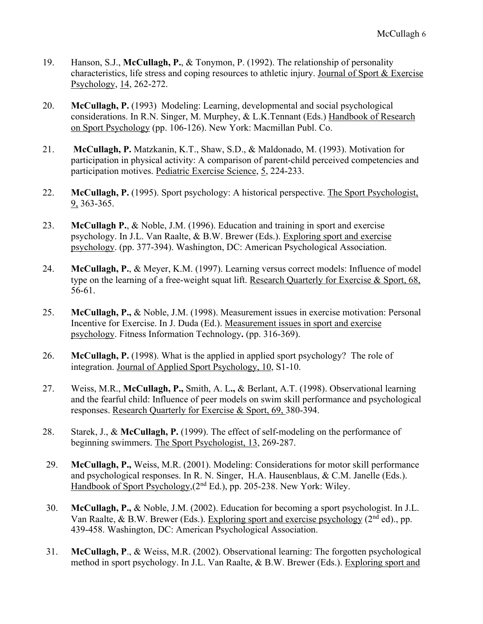- 19. Hanson, S.J., **McCullagh, P.**, & Tonymon, P. (1992). The relationship of personality characteristics, life stress and coping resources to athletic injury. Journal of Sport & Exercise Psychology, 14, 262-272.
- 20. **McCullagh, P.** (1993) Modeling: Learning, developmental and social psychological considerations. In R.N. Singer, M. Murphey, & L.K.Tennant (Eds.) Handbook of Research on Sport Psychology (pp. 106-126). New York: Macmillan Publ. Co.
- 21. **McCullagh, P.** Matzkanin, K.T., Shaw, S.D., & Maldonado, M. (1993). Motivation for participation in physical activity: A comparison of parent-child perceived competencies and participation motives. Pediatric Exercise Science, 5, 224-233.
- 22. **McCullagh, P.** (1995). Sport psychology: A historical perspective. The Sport Psychologist,  $9, 363-365.$
- 23. **McCullagh P.**, & Noble, J.M. (1996). Education and training in sport and exercise psychology. In J.L. Van Raalte, & B.W. Brewer (Eds.). Exploring sport and exercise psychology. (pp. 377-394). Washington, DC: American Psychological Association.
- 24. **McCullagh, P.**, & Meyer, K.M. (1997). Learning versus correct models: Influence of model type on the learning of a free-weight squat lift. Research Quarterly for Exercise & Sport, 68, 56-61.
- 25. **McCullagh, P.,** & Noble, J.M. (1998). Measurement issues in exercise motivation: Personal Incentive for Exercise. In J. Duda (Ed.). Measurement issues in sport and exercise psychology. Fitness Information Technology**.** (pp. 316-369).
- 26. **McCullagh, P.** (1998). What is the applied in applied sport psychology? The role of integration. Journal of Applied Sport Psychology, 10, S1-10.
- 27. Weiss, M.R., **McCullagh, P.,** Smith, A. L**.,** & Berlant, A.T. (1998). Observational learning and the fearful child: Influence of peer models on swim skill performance and psychological responses. Research Quarterly for Exercise & Sport, 69, 380-394.
- 28. Starek, J., & **McCullagh, P.** (1999). The effect of self-modeling on the performance of beginning swimmers. The Sport Psychologist, 13, 269-287.
- 29. **McCullagh, P.,** Weiss, M.R. (2001). Modeling: Considerations for motor skill performance and psychological responses. In R. N. Singer, H.A. Hausenblaus, & C.M. Janelle (Eds.). Handbook of Sport Psychology,(2nd Ed.), pp. 205-238. New York: Wiley.
- 30. **McCullagh, P.,** & Noble, J.M. (2002). Education for becoming a sport psychologist. In J.L. Van Raalte, & B.W. Brewer (Eds.). Exploring sport and exercise psychology (2<sup>nd</sup> ed)., pp. 439-458. Washington, DC: American Psychological Association.
- 31. **McCullagh, P**., & Weiss, M.R. (2002). Observational learning: The forgotten psychological method in sport psychology. In J.L. Van Raalte, & B.W. Brewer (Eds.). Exploring sport and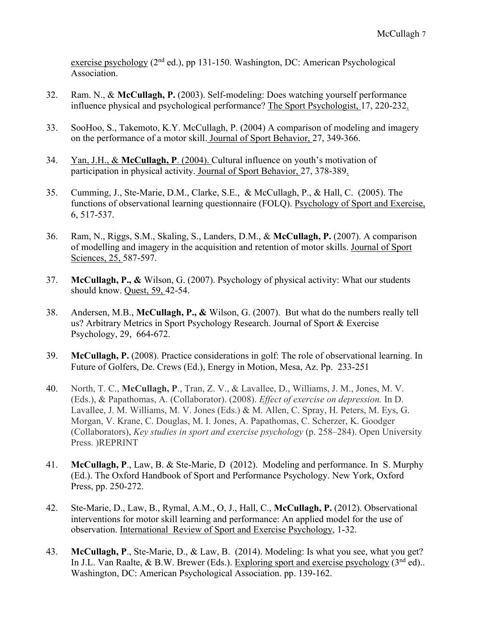exercise psychology ( $2<sup>nd</sup>$  ed.), pp 131-150. Washington, DC: American Psychological Association.

- 32. Ram. N., & **McCullagh, P.** (2003). Self-modeling: Does watching yourself performance influence physical and psychological performance? The Sport Psychologist, 17, 220-232.
- 33. SooHoo, S., Takemoto, K.Y. McCullagh, P. (2004) A comparison of modeling and imagery on the performance of a motor skill. Journal of Sport Behavior, 27, 349-366.
- 34. Yan, J.H., & **McCullagh, P**. (2004). Cultural influence on youth's motivation of participation in physical activity. Journal of Sport Behavior, 27, 378-389.
- 35. Cumming, J., Ste-Marie, D.M., Clarke, S.E., & McCullagh, P., & Hall, C. (2005). The functions of observational learning questionnaire (FOLQ). Psychology of Sport and Exercise, 6, 517-537.
- 36. Ram, N., Riggs, S.M., Skaling, S., Landers, D.M., & **McCullagh, P.** (2007). A comparison of modelling and imagery in the acquisition and retention of motor skills. Journal of Sport Sciences, 25, 587-597.
- 37. **McCullagh, P., &** Wilson, G. (2007). Psychology of physical activity: What our students should know. Quest, 59, 42-54.
- 38. Andersen, M.B., **McCullagh, P., &** Wilson, G. (2007). But what do the numbers really tell us? Arbitrary Metrics in Sport Psychology Research. Journal of Sport & Exercise Psychology, 29, 664-672.
- 39. **McCullagh, P.** (2008). Practice considerations in golf: The role of observational learning. In Future of Golfers, De. Crews (Ed.), Energy in Motion, Mesa, Az. Pp. 233-251
- 40. North, T. C., **McCullagh, P**., Tran, Z. V., & Lavallee, D., Williams, J. M., Jones, M. V. (Eds.), & Papathomas, A. (Collaborator). (2008). *Effect of exercise on depression.* In D. Lavallee, J. M. Williams, M. V. Jones (Eds.) & M. Allen, C. Spray, H. Peters, M. Eys, G. Morgan, V. Krane, C. Douglas, M. I. Jones, A. Papathomas, C. Scherzer, K. Goodger (Collaborators), *Key studies in sport and exercise psychology* (p. 258–284). Open University Press. )REPRINT
- 41. **McCullagh, P**., Law, B. & Ste-Marie, D (2012). Modeling and performance. In S. Murphy (Ed.). The Oxford Handbook of Sport and Performance Psychology. New York, Oxford Press, pp. 250-272.
- 42. Ste-Marie, D., Law, B., Rymal, A.M., O, J., Hall, C., **McCullagh, P.** (2012). Observational interventions for motor skill learning and performance: An applied model for the use of observation. International Review of Sport and Exercise Psychology, 1-32.
- 43. **McCullagh, P**., Ste-Marie, D., & Law, B. (2014). Modeling: Is what you see, what you get? In J.L. Van Raalte, & B.W. Brewer (Eds.). Exploring sport and exercise psychology  $(3<sup>nd</sup>$  ed).. Washington, DC: American Psychological Association. pp. 139-162.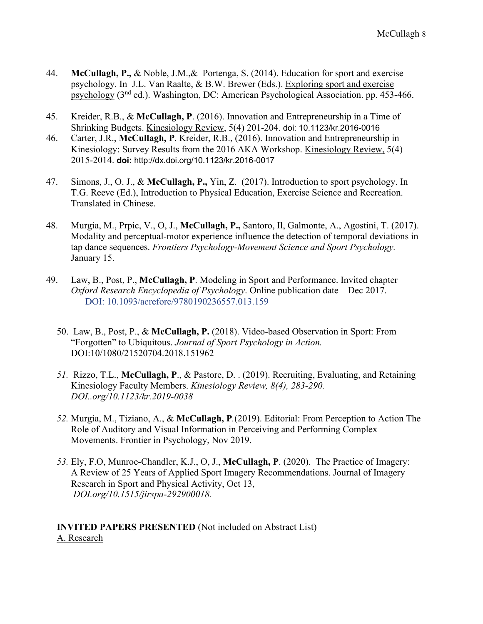- 44. **McCullagh, P.,** & Noble, J.M.,& Portenga, S. (2014). Education for sport and exercise psychology. In J.L. Van Raalte, & B.W. Brewer (Eds.). Exploring sport and exercise psychology (3nd ed.). Washington, DC: American Psychological Association. pp. 453-466.
- 45. Kreider, R.B., & **McCullagh, P**. (2016). Innovation and Entrepreneurship in a Time of Shrinking Budgets. Kinesiology Review, 5(4) 201-204. doi: 10.1123/kr.2016-0016
- 46. Carter, J.R., **McCullagh, P**. Kreider, R.B., (2016). Innovation and Entrepreneurship in Kinesiology: Survey Results from the 2016 AKA Workshop. Kinesiology Review, 5(4) 2015-2014. **doi:** http://dx.doi.org/10.1123/kr.2016-0017
- 47. Simons, J., O. J., & **McCullagh, P.,** Yin, Z. (2017). Introduction to sport psychology. In T.G. Reeve (Ed.), Introduction to Physical Education, Exercise Science and Recreation. Translated in Chinese.
- 48. Murgia, M., Prpic, V., O, J., **McCullagh, P.,** Santoro, Il, Galmonte, A., Agostini, T. (2017). Modality and perceptual-motor experience influence the detection of temporal deviations in tap dance sequences. *Frontiers Psychology-Movement Science and Sport Psychology.* January 15.
- 49. Law, B., Post, P., **McCullagh, P**. Modeling in Sport and Performance. Invited chapter *Oxford Research Encyclopedia of Psychology*. Online publication date – Dec 2017. DOI: 10.1093/acrefore/9780190236557.013.159
	- 50. Law, B., Post, P., & **McCullagh, P.** (2018). Video-based Observation in Sport: From "Forgotten" to Ubiquitous. *Journal of Sport Psychology in Action.* DOI:10/1080/21520704.2018.151962
	- *51.* Rizzo, T.L., **McCullagh, P**., & Pastore, D. . (2019). Recruiting, Evaluating, and Retaining Kinesiology Faculty Members. *Kinesiology Review, 8(4), 283-290. DOI..org/10.1123/kr.2019-0038*
	- *52.* Murgia, M., Tiziano, A., & **McCullagh, P***.*(2019). Editorial: From Perception to Action The Role of Auditory and Visual Information in Perceiving and Performing Complex Movements. Frontier in Psychology, Nov 2019.
	- *53.* Ely, F.O, Munroe-Chandler, K.J., O, J., **McCullagh, P**. (2020). The Practice of Imagery: A Review of 25 Years of Applied Sport Imagery Recommendations. Journal of Imagery Research in Sport and Physical Activity, Oct 13,  *DOI.org/10.1515/jirspa-292900018.*

**INVITED PAPERS PRESENTED** (Not included on Abstract List) A. Research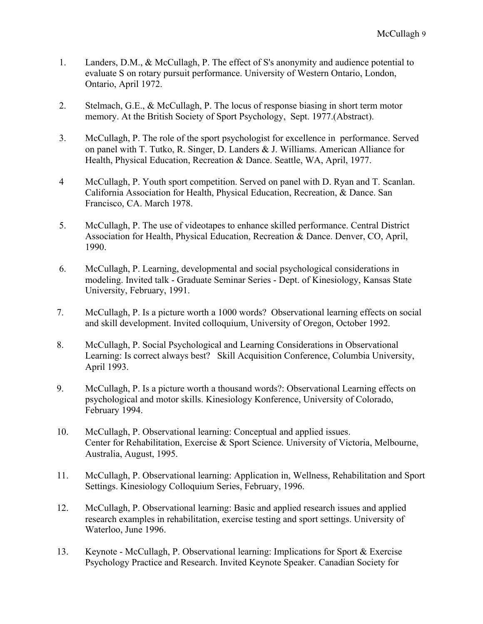- 1. Landers, D.M., & McCullagh, P. The effect of S's anonymity and audience potential to evaluate S on rotary pursuit performance. University of Western Ontario, London, Ontario, April 1972.
- 2. Stelmach, G.E., & McCullagh, P. The locus of response biasing in short term motor memory. At the British Society of Sport Psychology, Sept. 1977.(Abstract).
- 3. McCullagh, P. The role of the sport psychologist for excellence in performance. Served on panel with T. Tutko, R. Singer, D. Landers & J. Williams. American Alliance for Health, Physical Education, Recreation & Dance. Seattle, WA, April, 1977.
- 4 McCullagh, P. Youth sport competition. Served on panel with D. Ryan and T. Scanlan. California Association for Health, Physical Education, Recreation, & Dance. San Francisco, CA. March 1978.
- 5. McCullagh, P. The use of videotapes to enhance skilled performance. Central District Association for Health, Physical Education, Recreation & Dance. Denver, CO, April, 1990.
- 6. McCullagh, P. Learning, developmental and social psychological considerations in modeling. Invited talk - Graduate Seminar Series - Dept. of Kinesiology, Kansas State University, February, 1991.
- 7. McCullagh, P. Is a picture worth a 1000 words? Observational learning effects on social and skill development. Invited colloquium, University of Oregon, October 1992.
- 8. McCullagh, P. Social Psychological and Learning Considerations in Observational Learning: Is correct always best? Skill Acquisition Conference, Columbia University, April 1993.
- 9. McCullagh, P. Is a picture worth a thousand words?: Observational Learning effects on psychological and motor skills. Kinesiology Konference, University of Colorado, February 1994.
- 10. McCullagh, P. Observational learning: Conceptual and applied issues. Center for Rehabilitation, Exercise & Sport Science. University of Victoria, Melbourne, Australia, August, 1995.
- 11. McCullagh, P. Observational learning: Application in, Wellness, Rehabilitation and Sport Settings. Kinesiology Colloquium Series, February, 1996.
- 12. McCullagh, P. Observational learning: Basic and applied research issues and applied research examples in rehabilitation, exercise testing and sport settings. University of Waterloo, June 1996.
- 13. Keynote McCullagh, P. Observational learning: Implications for Sport & Exercise Psychology Practice and Research. Invited Keynote Speaker. Canadian Society for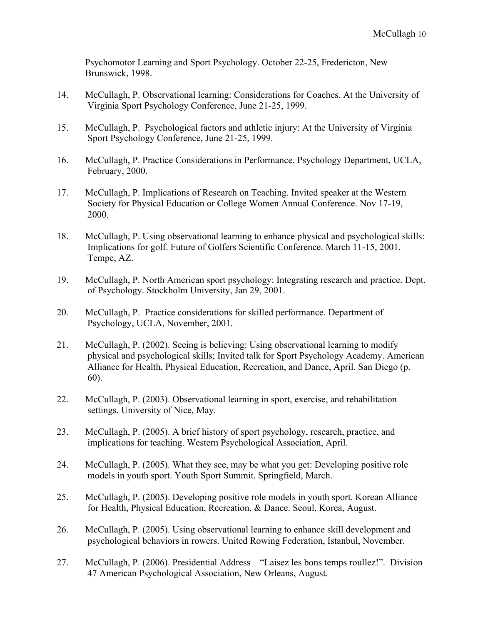Psychomotor Learning and Sport Psychology. October 22-25, Fredericton, New Brunswick, 1998.

- 14. McCullagh, P. Observational learning: Considerations for Coaches. At the University of Virginia Sport Psychology Conference, June 21-25, 1999.
- 15. McCullagh, P. Psychological factors and athletic injury: At the University of Virginia Sport Psychology Conference, June 21-25, 1999.
- 16. McCullagh, P. Practice Considerations in Performance. Psychology Department, UCLA, February, 2000.
- 17. McCullagh, P. Implications of Research on Teaching. Invited speaker at the Western Society for Physical Education or College Women Annual Conference. Nov 17-19, 2000.
- 18. McCullagh, P. Using observational learning to enhance physical and psychological skills: Implications for golf. Future of Golfers Scientific Conference. March 11-15, 2001. Tempe, AZ.
- 19. McCullagh, P. North American sport psychology: Integrating research and practice. Dept. of Psychology. Stockholm University, Jan 29, 2001.
- 20. McCullagh, P. Practice considerations for skilled performance. Department of Psychology, UCLA, November, 2001.
- 21. McCullagh, P. (2002). Seeing is believing: Using observational learning to modify physical and psychological skills; Invited talk for Sport Psychology Academy. American Alliance for Health, Physical Education, Recreation, and Dance, April. San Diego (p. 60).
- 22. McCullagh, P. (2003). Observational learning in sport, exercise, and rehabilitation settings. University of Nice, May.
- 23. McCullagh, P. (2005). A brief history of sport psychology, research, practice, and implications for teaching. Western Psychological Association, April.
- 24. McCullagh, P. (2005). What they see, may be what you get: Developing positive role models in youth sport. Youth Sport Summit. Springfield, March.
- 25. McCullagh, P. (2005). Developing positive role models in youth sport. Korean Alliance for Health, Physical Education, Recreation, & Dance. Seoul, Korea, August.
- 26. McCullagh, P. (2005). Using observational learning to enhance skill development and psychological behaviors in rowers. United Rowing Federation, Istanbul, November.
- 27. McCullagh, P. (2006). Presidential Address "Laisez les bons temps roullez!". Division 47 American Psychological Association, New Orleans, August.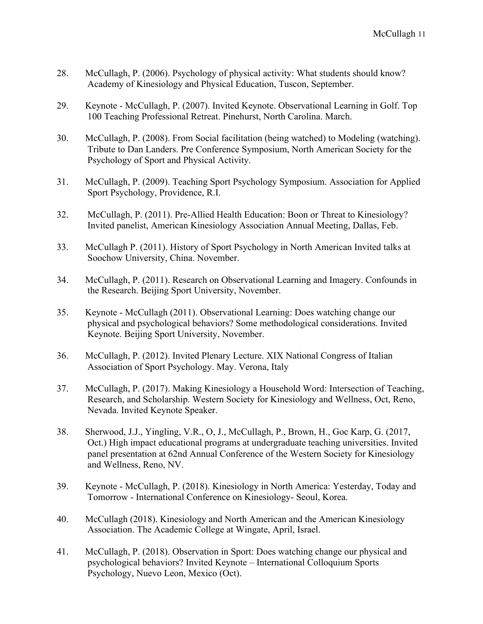- 28. McCullagh, P. (2006). Psychology of physical activity: What students should know? Academy of Kinesiology and Physical Education, Tuscon, September.
- 29. Keynote McCullagh, P. (2007). Invited Keynote. Observational Learning in Golf. Top 100 Teaching Professional Retreat. Pinehurst, North Carolina. March.
- 30. McCullagh, P. (2008). From Social facilitation (being watched) to Modeling (watching). Tribute to Dan Landers. Pre Conference Symposium, North American Society for the Psychology of Sport and Physical Activity.
- 31. McCullagh, P. (2009). Teaching Sport Psychology Symposium. Association for Applied Sport Psychology, Providence, R.I.
- 32. McCullagh, P. (2011). Pre-Allied Health Education: Boon or Threat to Kinesiology? Invited panelist, American Kinesiology Association Annual Meeting, Dallas, Feb.
- 33. McCullagh P. (2011). History of Sport Psychology in North American Invited talks at Soochow University, China. November.
- 34. McCullagh, P. (2011). Research on Observational Learning and Imagery. Confounds in the Research. Beijing Sport University, November.
- 35. Keynote McCullagh (2011). Observational Learning: Does watching change our physical and psychological behaviors? Some methodological considerations. Invited Keynote. Beijing Sport University, November.
- 36. McCullagh, P. (2012). Invited Plenary Lecture. XIX National Congress of Italian Association of Sport Psychology. May. Verona, Italy
- 37. McCullagh, P. (2017). Making Kinesiology a Household Word: Intersection of Teaching, Research, and Scholarship. Western Society for Kinesiology and Wellness, Oct, Reno, Nevada. Invited Keynote Speaker.
- 38. Sherwood, J.J., Yingling, V.R., O, J., McCullagh, P., Brown, H., Goc Karp, G. (2017, Oct.) High impact educational programs at undergraduate teaching universities. Invited panel presentation at 62nd Annual Conference of the Western Society for Kinesiology and Wellness, Reno, NV.
- 39. Keynote McCullagh, P. (2018). Kinesiology in North America: Yesterday, Today and Tomorrow - International Conference on Kinesiology- Seoul, Korea.
- 40. McCullagh (2018). Kinesiology and North American and the American Kinesiology Association. The Academic College at Wingate, April, Israel.
- 41. McCullagh, P. (2018). Observation in Sport: Does watching change our physical and psychological behaviors? Invited Keynote – International Colloquium Sports Psychology, Nuevo Leon, Mexico (Oct).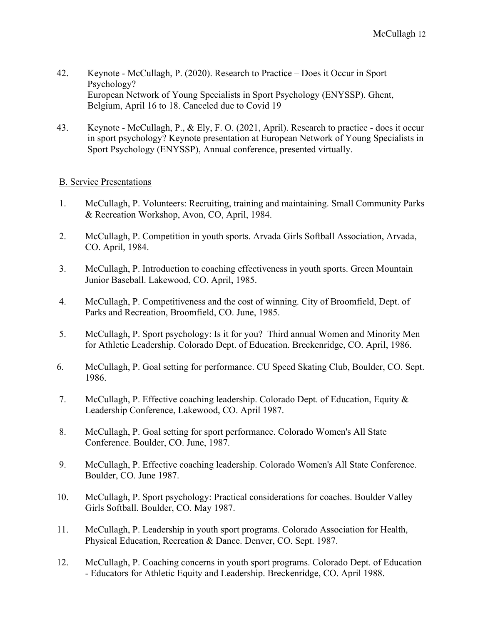- 42. Keynote McCullagh, P. (2020). Research to Practice Does it Occur in Sport Psychology? European Network of Young Specialists in Sport Psychology (ENYSSP). Ghent, Belgium, April 16 to 18. Canceled due to Covid 19
- 43. Keynote McCullagh, P., & Ely, F. O. (2021, April). Research to practice does it occur in sport psychology? Keynote presentation at European Network of Young Specialists in Sport Psychology (ENYSSP), Annual conference, presented virtually.

## B. Service Presentations

- 1. McCullagh, P. Volunteers: Recruiting, training and maintaining. Small Community Parks & Recreation Workshop, Avon, CO, April, 1984.
- 2. McCullagh, P. Competition in youth sports. Arvada Girls Softball Association, Arvada, CO. April, 1984.
- 3. McCullagh, P. Introduction to coaching effectiveness in youth sports. Green Mountain Junior Baseball. Lakewood, CO. April, 1985.
- 4. McCullagh, P. Competitiveness and the cost of winning. City of Broomfield, Dept. of Parks and Recreation, Broomfield, CO. June, 1985.
- 5. McCullagh, P. Sport psychology: Is it for you? Third annual Women and Minority Men for Athletic Leadership. Colorado Dept. of Education. Breckenridge, CO. April, 1986.
- 6. McCullagh, P. Goal setting for performance. CU Speed Skating Club, Boulder, CO. Sept. 1986.
- 7. McCullagh, P. Effective coaching leadership. Colorado Dept. of Education, Equity & Leadership Conference, Lakewood, CO. April 1987.
- 8. McCullagh, P. Goal setting for sport performance. Colorado Women's All State Conference. Boulder, CO. June, 1987.
- 9. McCullagh, P. Effective coaching leadership. Colorado Women's All State Conference. Boulder, CO. June 1987.
- 10. McCullagh, P. Sport psychology: Practical considerations for coaches. Boulder Valley Girls Softball. Boulder, CO. May 1987.
- 11. McCullagh, P. Leadership in youth sport programs. Colorado Association for Health, Physical Education, Recreation & Dance. Denver, CO. Sept. 1987.
- 12. McCullagh, P. Coaching concerns in youth sport programs. Colorado Dept. of Education - Educators for Athletic Equity and Leadership. Breckenridge, CO. April 1988.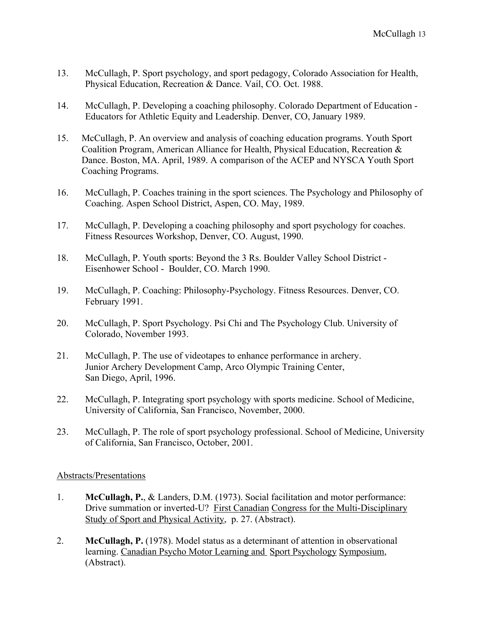- 13. McCullagh, P. Sport psychology, and sport pedagogy, Colorado Association for Health, Physical Education, Recreation & Dance. Vail, CO. Oct. 1988.
- 14. McCullagh, P. Developing a coaching philosophy. Colorado Department of Education Educators for Athletic Equity and Leadership. Denver, CO, January 1989.
- 15. McCullagh, P. An overview and analysis of coaching education programs. Youth Sport Coalition Program, American Alliance for Health, Physical Education, Recreation & Dance. Boston, MA. April, 1989. A comparison of the ACEP and NYSCA Youth Sport Coaching Programs.
- 16. McCullagh, P. Coaches training in the sport sciences. The Psychology and Philosophy of Coaching. Aspen School District, Aspen, CO. May, 1989.
- 17. McCullagh, P. Developing a coaching philosophy and sport psychology for coaches. Fitness Resources Workshop, Denver, CO. August, 1990.
- 18. McCullagh, P. Youth sports: Beyond the 3 Rs. Boulder Valley School District Eisenhower School - Boulder, CO. March 1990.
- 19. McCullagh, P. Coaching: Philosophy-Psychology. Fitness Resources. Denver, CO. February 1991.
- 20. McCullagh, P. Sport Psychology. Psi Chi and The Psychology Club. University of Colorado, November 1993.
- 21. McCullagh, P. The use of videotapes to enhance performance in archery. Junior Archery Development Camp, Arco Olympic Training Center, San Diego, April, 1996.
- 22. McCullagh, P. Integrating sport psychology with sports medicine. School of Medicine, University of California, San Francisco, November, 2000.
- 23. McCullagh, P. The role of sport psychology professional. School of Medicine, University of California, San Francisco, October, 2001.

#### Abstracts/Presentations

- 1. **McCullagh, P.**, & Landers, D.M. (1973). Social facilitation and motor performance: Drive summation or inverted-U? First Canadian Congress for the Multi-Disciplinary Study of Sport and Physical Activity, p. 27. (Abstract).
- 2. **McCullagh, P.** (1978). Model status as a determinant of attention in observational learning. Canadian Psycho Motor Learning and Sport Psychology Symposium, (Abstract).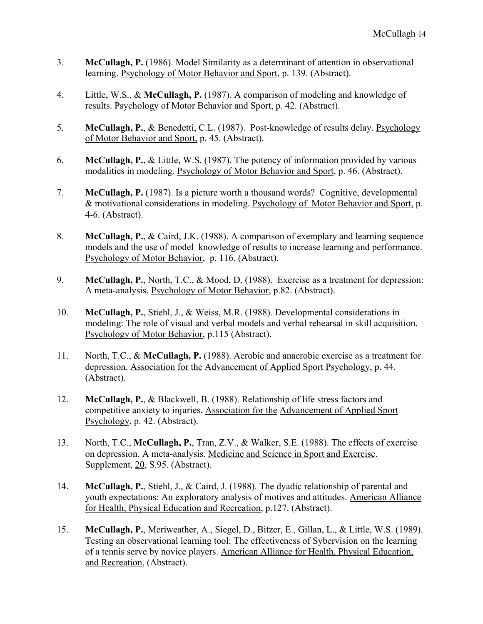- 3. **McCullagh, P.** (1986). Model Similarity as a determinant of attention in observational learning. Psychology of Motor Behavior and Sport, p. 139. (Abstract).
- 4. Little, W.S., & **McCullagh, P.** (1987). A comparison of modeling and knowledge of results. Psychology of Motor Behavior and Sport, p. 42. (Abstract).
- 5. **McCullagh, P.**, & Benedetti, C.L. (1987). Post-knowledge of results delay. Psychology of Motor Behavior and Sport, p. 45. (Abstract).
- 6. **McCullagh, P.**, & Little, W.S. (1987). The potency of information provided by various modalities in modeling. Psychology of Motor Behavior and Sport, p. 46. (Abstract).
- 7. **McCullagh, P.** (1987). Is a picture worth a thousand words? Cognitive, developmental & motivational considerations in modeling. Psychology of Motor Behavior and Sport, p. 4-6. (Abstract).
- 8. **McCullagh, P.**, & Caird, J.K. (1988). A comparison of exemplary and learning sequence models and the use of model knowledge of results to increase learning and performance. Psychology of Motor Behavior, p. 116. (Abstract).
- 9. **McCullagh, P.**, North, T.C., & Mood, D. (1988). Exercise as a treatment for depression: A meta-analysis. Psychology of Motor Behavior, p.82. (Abstract).
- 10. **McCullagh, P.**, Stiehl, J., & Weiss, M.R. (1988). Developmental considerations in modeling: The role of visual and verbal models and verbal rehearsal in skill acquisition. Psychology of Motor Behavior, p.115 (Abstract).
- 11. North, T.C., & **McCullagh, P.** (1988). Aerobic and anaerobic exercise as a treatment for depression. Association for the Advancement of Applied Sport Psychology, p. 44. (Abstract).
- 12. **McCullagh, P.**, & Blackwell, B. (1988). Relationship of life stress factors and competitive anxiety to injuries. Association for the Advancement of Applied Sport Psychology, p. 42. (Abstract).
- 13. North, T.C., **McCullagh, P.**, Tran, Z.V., & Walker, S.E. (1988). The effects of exercise on depression. A meta-analysis. Medicine and Science in Sport and Exercise. Supplement, 20, S.95. (Abstract).
- 14. **McCullagh, P.**, Stiehl, J., & Caird, J. (1988). The dyadic relationship of parental and youth expectations: An exploratory analysis of motives and attitudes. American Alliance for Health, Physical Education and Recreation, p.127. (Abstract).
- 15. **McCullagh, P.**, Meriweather, A., Siegel, D., Bitzer, E., Gillan, L., & Little, W.S. (1989). Testing an observational learning tool: The effectiveness of Sybervision on the learning of a tennis serve by novice players. American Alliance for Health, Physical Education, and Recreation, (Abstract).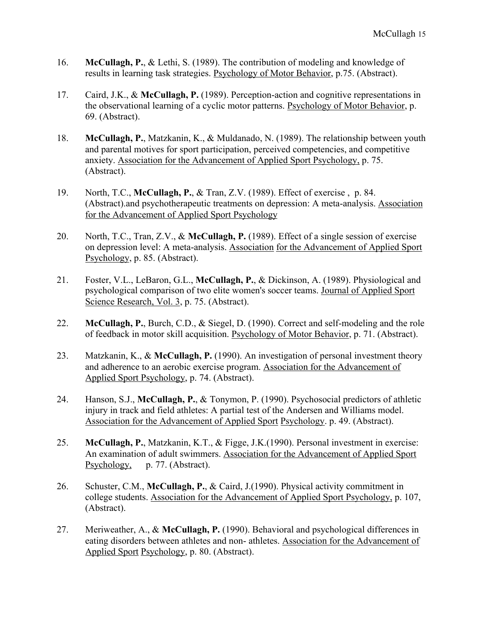- 16. **McCullagh, P.**, & Lethi, S. (1989). The contribution of modeling and knowledge of results in learning task strategies. Psychology of Motor Behavior, p.75. (Abstract).
- 17. Caird, J.K., & **McCullagh, P.** (1989). Perception-action and cognitive representations in the observational learning of a cyclic motor patterns. Psychology of Motor Behavior, p. 69. (Abstract).
- 18. **McCullagh, P.**, Matzkanin, K., & Muldanado, N. (1989). The relationship between youth and parental motives for sport participation, perceived competencies, and competitive anxiety. Association for the Advancement of Applied Sport Psychology, p. 75. (Abstract).
- 19. North, T.C., **McCullagh, P.**, & Tran, Z.V. (1989). Effect of exercise , p. 84. (Abstract).and psychotherapeutic treatments on depression: A meta-analysis. Association for the Advancement of Applied Sport Psychology
- 20. North, T.C., Tran, Z.V., & **McCullagh, P.** (1989). Effect of a single session of exercise on depression level: A meta-analysis. Association for the Advancement of Applied Sport Psychology, p. 85. (Abstract).
- 21. Foster, V.L., LeBaron, G.L., **McCullagh, P.**, & Dickinson, A. (1989). Physiological and psychological comparison of two elite women's soccer teams. Journal of Applied Sport Science Research, Vol. 3, p. 75. (Abstract).
- 22. **McCullagh, P.**, Burch, C.D., & Siegel, D. (1990). Correct and self-modeling and the role of feedback in motor skill acquisition. Psychology of Motor Behavior, p. 71. (Abstract).
- 23. Matzkanin, K., & **McCullagh, P.** (1990). An investigation of personal investment theory and adherence to an aerobic exercise program. Association for the Advancement of Applied Sport Psychology, p. 74. (Abstract).
- 24. Hanson, S.J., **McCullagh, P.**, & Tonymon, P. (1990). Psychosocial predictors of athletic injury in track and field athletes: A partial test of the Andersen and Williams model. Association for the Advancement of Applied Sport Psychology. p. 49. (Abstract).
- 25. **McCullagh, P.**, Matzkanin, K.T., & Figge, J.K.(1990). Personal investment in exercise: An examination of adult swimmers. Association for the Advancement of Applied Sport Psychology, p. 77. (Abstract).
- 26. Schuster, C.M., **McCullagh, P.**, & Caird, J.(1990). Physical activity commitment in college students. Association for the Advancement of Applied Sport Psychology, p. 107, (Abstract).
- 27. Meriweather, A., & **McCullagh, P.** (1990). Behavioral and psychological differences in eating disorders between athletes and non- athletes. Association for the Advancement of Applied Sport Psychology, p. 80. (Abstract).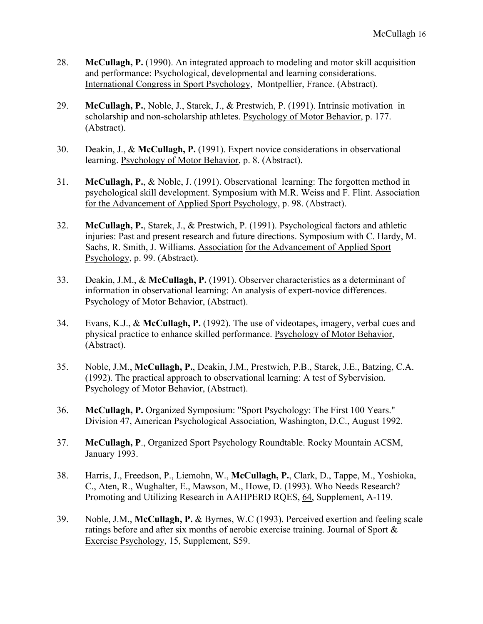- 28. **McCullagh, P.** (1990). An integrated approach to modeling and motor skill acquisition and performance: Psychological, developmental and learning considerations. International Congress in Sport Psychology, Montpellier, France. (Abstract).
- 29. **McCullagh, P.**, Noble, J., Starek, J., & Prestwich, P. (1991). Intrinsic motivation in scholarship and non-scholarship athletes. Psychology of Motor Behavior, p. 177. (Abstract).
- 30. Deakin, J., & **McCullagh, P.** (1991). Expert novice considerations in observational learning. Psychology of Motor Behavior, p. 8. (Abstract).
- 31. **McCullagh, P.**, & Noble, J. (1991). Observational learning: The forgotten method in psychological skill development. Symposium with M.R. Weiss and F. Flint. Association for the Advancement of Applied Sport Psychology, p. 98. (Abstract).
- 32. **McCullagh, P.**, Starek, J., & Prestwich, P. (1991). Psychological factors and athletic injuries: Past and present research and future directions. Symposium with C. Hardy, M. Sachs, R. Smith, J. Williams. Association for the Advancement of Applied Sport Psychology, p. 99. (Abstract).
- 33. Deakin, J.M., & **McCullagh, P.** (1991). Observer characteristics as a determinant of information in observational learning: An analysis of expert-novice differences. Psychology of Motor Behavior, (Abstract).
- 34. Evans, K.J., & **McCullagh, P.** (1992). The use of videotapes, imagery, verbal cues and physical practice to enhance skilled performance. Psychology of Motor Behavior, (Abstract).
- 35. Noble, J.M., **McCullagh, P.**, Deakin, J.M., Prestwich, P.B., Starek, J.E., Batzing, C.A. (1992). The practical approach to observational learning: A test of Sybervision. Psychology of Motor Behavior, (Abstract).
- 36. **McCullagh, P.** Organized Symposium: "Sport Psychology: The First 100 Years." Division 47, American Psychological Association, Washington, D.C., August 1992.
- 37. **McCullagh, P**., Organized Sport Psychology Roundtable. Rocky Mountain ACSM, January 1993.
- 38. Harris, J., Freedson, P., Liemohn, W., **McCullagh, P.**, Clark, D., Tappe, M., Yoshioka, C., Aten, R., Wughalter, E., Mawson, M., Howe, D. (1993). Who Needs Research? Promoting and Utilizing Research in AAHPERD RQES, 64, Supplement, A-119.
- 39. Noble, J.M., **McCullagh, P.** & Byrnes, W.C (1993). Perceived exertion and feeling scale ratings before and after six months of aerobic exercise training. Journal of Sport & Exercise Psychology, 15, Supplement, S59.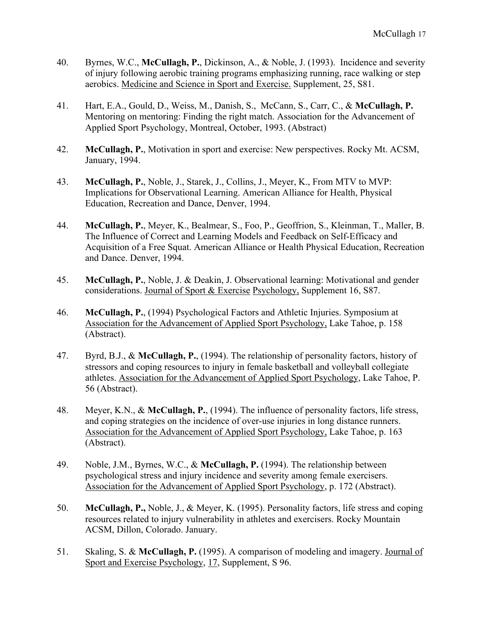- 40. Byrnes, W.C., **McCullagh, P.**, Dickinson, A., & Noble, J. (1993). Incidence and severity of injury following aerobic training programs emphasizing running, race walking or step aerobics. Medicine and Science in Sport and Exercise. Supplement, 25, S81.
- 41. Hart, E.A., Gould, D., Weiss, M., Danish, S., McCann, S., Carr, C., & **McCullagh, P.** Mentoring on mentoring: Finding the right match. Association for the Advancement of Applied Sport Psychology, Montreal, October, 1993. (Abstract)
- 42. **McCullagh, P.**, Motivation in sport and exercise: New perspectives. Rocky Mt. ACSM, January, 1994.
- 43. **McCullagh, P.**, Noble, J., Starek, J., Collins, J., Meyer, K., From MTV to MVP: Implications for Observational Learning. American Alliance for Health, Physical Education, Recreation and Dance, Denver, 1994.
- 44. **McCullagh, P.**, Meyer, K., Bealmear, S., Foo, P., Geoffrion, S., Kleinman, T., Maller, B. The Influence of Correct and Learning Models and Feedback on Self-Efficacy and Acquisition of a Free Squat. American Alliance or Health Physical Education, Recreation and Dance. Denver, 1994.
- 45. **McCullagh, P.**, Noble, J. & Deakin, J. Observational learning: Motivational and gender considerations. Journal of Sport & Exercise Psychology, Supplement 16, S87.
- 46. **McCullagh, P.**, (1994) Psychological Factors and Athletic Injuries. Symposium at Association for the Advancement of Applied Sport Psychology, Lake Tahoe, p. 158 (Abstract).
- 47. Byrd, B.J., & **McCullagh, P.**, (1994). The relationship of personality factors, history of stressors and coping resources to injury in female basketball and volleyball collegiate athletes. Association for the Advancement of Applied Sport Psychology, Lake Tahoe, P. 56 (Abstract).
- 48. Meyer, K.N., & **McCullagh, P.**, (1994). The influence of personality factors, life stress, and coping strategies on the incidence of over-use injuries in long distance runners. Association for the Advancement of Applied Sport Psychology, Lake Tahoe, p. 163 (Abstract).
- 49. Noble, J.M., Byrnes, W.C., & **McCullagh, P.** (1994). The relationship between psychological stress and injury incidence and severity among female exercisers. Association for the Advancement of Applied Sport Psychology, p. 172 (Abstract).
- 50. **McCullagh, P.,** Noble, J., & Meyer, K. (1995). Personality factors, life stress and coping resources related to injury vulnerability in athletes and exercisers. Rocky Mountain ACSM, Dillon, Colorado. January.
- 51. Skaling, S. & **McCullagh, P.** (1995). A comparison of modeling and imagery. Journal of Sport and Exercise Psychology, 17, Supplement, S 96.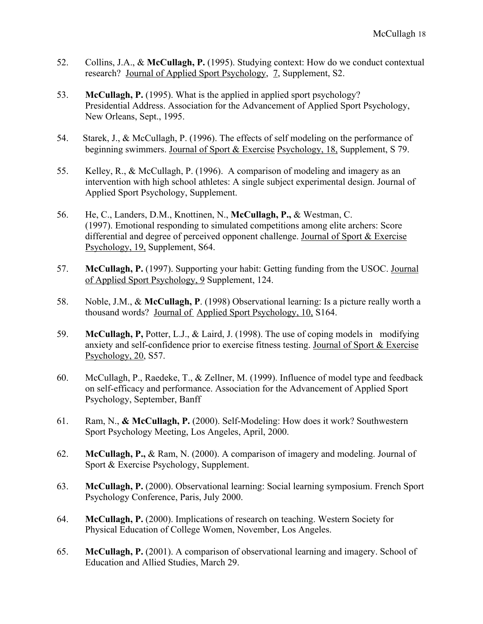- 52. Collins, J.A., & **McCullagh, P.** (1995). Studying context: How do we conduct contextual research? Journal of Applied Sport Psychology, 7, Supplement, S2.
- 53. **McCullagh, P.** (1995). What is the applied in applied sport psychology? Presidential Address. Association for the Advancement of Applied Sport Psychology, New Orleans, Sept., 1995.
- 54. Starek, J., & McCullagh, P. (1996). The effects of self modeling on the performance of beginning swimmers. Journal of Sport & Exercise Psychology, 18, Supplement, S 79.
- 55. Kelley, R., & McCullagh, P. (1996). A comparison of modeling and imagery as an intervention with high school athletes: A single subject experimental design. Journal of Applied Sport Psychology, Supplement.
- 56. He, C., Landers, D.M., Knottinen, N., **McCullagh, P.,** & Westman, C. (1997). Emotional responding to simulated competitions among elite archers: Score differential and degree of perceived opponent challenge. Journal of Sport & Exercise Psychology, 19, Supplement, S64.
- 57. **McCullagh, P.** (1997). Supporting your habit: Getting funding from the USOC. Journal of Applied Sport Psychology, 9 Supplement, 124.
- 58. Noble, J.M., & **McCullagh, P**. (1998) Observational learning: Is a picture really worth a thousand words? Journal of Applied Sport Psychology, 10, S164.
- 59. **McCullagh, P,** Potter, L.J., & Laird, J. (1998). The use of coping models in modifying anxiety and self-confidence prior to exercise fitness testing. Journal of Sport & Exercise Psychology, 20, S57.
- 60. McCullagh, P., Raedeke, T., & Zellner, M. (1999). Influence of model type and feedback on self-efficacy and performance. Association for the Advancement of Applied Sport Psychology, September, Banff
- 61. Ram, N., **& McCullagh, P.** (2000). Self-Modeling: How does it work? Southwestern Sport Psychology Meeting, Los Angeles, April, 2000.
- 62. **McCullagh, P.,** & Ram, N. (2000). A comparison of imagery and modeling. Journal of Sport & Exercise Psychology, Supplement.
- 63. **McCullagh, P.** (2000). Observational learning: Social learning symposium. French Sport Psychology Conference, Paris, July 2000.
- 64. **McCullagh, P.** (2000). Implications of research on teaching. Western Society for Physical Education of College Women, November, Los Angeles.
- 65. **McCullagh, P.** (2001). A comparison of observational learning and imagery. School of Education and Allied Studies, March 29.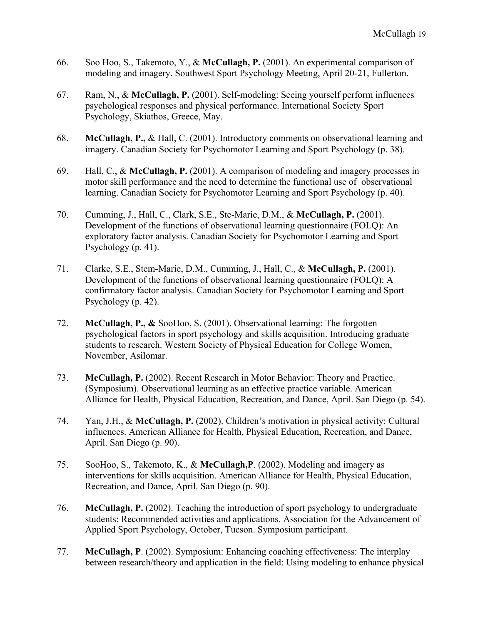- 66. Soo Hoo, S., Takemoto, Y., & **McCullagh, P.** (2001). An experimental comparison of modeling and imagery. Southwest Sport Psychology Meeting, April 20-21, Fullerton.
- 67. Ram, N., & **McCullagh, P.** (2001). Self-modeling: Seeing yourself perform influences psychological responses and physical performance. International Society Sport Psychology, Skiathos, Greece, May.
- 68. **McCullagh, P.,** & Hall, C. (2001). Introductory comments on observational learning and imagery. Canadian Society for Psychomotor Learning and Sport Psychology (p. 38).
- 69. Hall, C., & **McCullagh, P.** (2001). A comparison of modeling and imagery processes in motor skill performance and the need to determine the functional use of observational learning. Canadian Society for Psychomotor Learning and Sport Psychology (p. 40).
- 70. Cumming, J., Hall, C., Clark, S.E., Ste-Marie, D.M., & **McCullagh, P.** (2001). Development of the functions of observational learning questionnaire (FOLQ): An exploratory factor analysis. Canadian Society for Psychomotor Learning and Sport Psychology (p. 41).
- 71. Clarke, S.E., Stem-Marie, D.M., Cumming, J., Hall, C., & **McCullagh, P.** (2001). Development of the functions of observational learning questionnaire (FOLQ): A confirmatory factor analysis. Canadian Society for Psychomotor Learning and Sport Psychology (p. 42).
- 72. **McCullagh, P., &** SooHoo, S. (2001). Observational learning: The forgotten psychological factors in sport psychology and skills acquisition. Introducing graduate students to research. Western Society of Physical Education for College Women, November, Asilomar.
- 73. **McCullagh, P.** (2002). Recent Research in Motor Behavior: Theory and Practice. (Symposium). Observational learning as an effective practice variable. American Alliance for Health, Physical Education, Recreation, and Dance, April. San Diego (p. 54).
- 74. Yan, J.H., & **McCullagh, P.** (2002). Children's motivation in physical activity: Cultural influences. American Alliance for Health, Physical Education, Recreation, and Dance, April. San Diego (p. 90).
- 75. SooHoo, S., Takemoto, K., & **McCullagh,P**. (2002). Modeling and imagery as interventions for skills acquisition. American Alliance for Health, Physical Education, Recreation, and Dance, April. San Diego (p. 90).
- 76. **McCullagh, P.** (2002). Teaching the introduction of sport psychology to undergraduate students: Recommended activities and applications. Association for the Advancement of Applied Sport Psychology, October, Tucson. Symposium participant.
- 77. **McCullagh, P**. (2002). Symposium: Enhancing coaching effectiveness: The interplay between research/theory and application in the field: Using modeling to enhance physical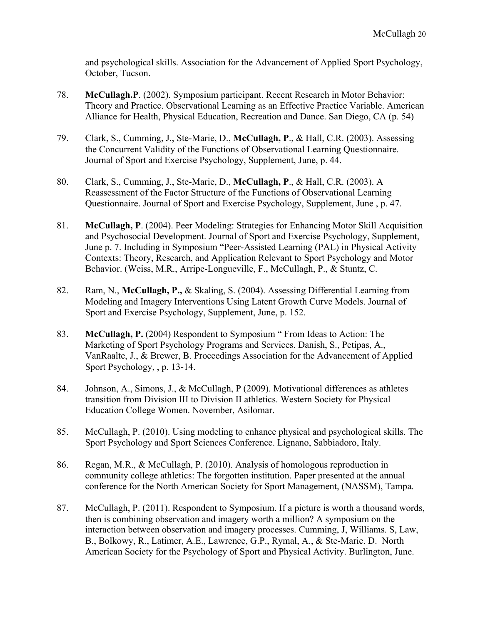and psychological skills. Association for the Advancement of Applied Sport Psychology, October, Tucson.

- 78. **McCullagh.P**. (2002). Symposium participant. Recent Research in Motor Behavior: Theory and Practice. Observational Learning as an Effective Practice Variable. American Alliance for Health, Physical Education, Recreation and Dance. San Diego, CA (p. 54)
- 79. Clark, S., Cumming, J., Ste-Marie, D., **McCullagh, P**., & Hall, C.R. (2003). Assessing the Concurrent Validity of the Functions of Observational Learning Questionnaire. Journal of Sport and Exercise Psychology, Supplement, June, p. 44.
- 80. Clark, S., Cumming, J., Ste-Marie, D., **McCullagh, P**., & Hall, C.R. (2003). A Reassessment of the Factor Structure of the Functions of Observational Learning Questionnaire. Journal of Sport and Exercise Psychology, Supplement, June , p. 47.
- 81. **McCullagh, P**. (2004). Peer Modeling: Strategies for Enhancing Motor Skill Acquisition and Psychosocial Development. Journal of Sport and Exercise Psychology, Supplement, June p. 7. Including in Symposium "Peer-Assisted Learning (PAL) in Physical Activity Contexts: Theory, Research, and Application Relevant to Sport Psychology and Motor Behavior. (Weiss, M.R., Arripe-Longueville, F., McCullagh, P., & Stuntz, C.
- 82. Ram, N., **McCullagh, P.,** & Skaling, S. (2004). Assessing Differential Learning from Modeling and Imagery Interventions Using Latent Growth Curve Models. Journal of Sport and Exercise Psychology, Supplement, June, p. 152.
- 83. **McCullagh, P.** (2004) Respondent to Symposium " From Ideas to Action: The Marketing of Sport Psychology Programs and Services. Danish, S., Petipas, A., VanRaalte, J., & Brewer, B. Proceedings Association for the Advancement of Applied Sport Psychology, , p. 13-14.
- 84. Johnson, A., Simons, J., & McCullagh, P (2009). Motivational differences as athletes transition from Division III to Division II athletics. Western Society for Physical Education College Women. November, Asilomar.
- 85. McCullagh, P. (2010). Using modeling to enhance physical and psychological skills. The Sport Psychology and Sport Sciences Conference. Lignano, Sabbiadoro, Italy.
- 86. Regan, M.R., & McCullagh, P. (2010). Analysis of homologous reproduction in community college athletics: The forgotten institution. Paper presented at the annual conference for the North American Society for Sport Management, (NASSM), Tampa.
- 87. McCullagh, P. (2011). Respondent to Symposium. If a picture is worth a thousand words, then is combining observation and imagery worth a million? A symposium on the interaction between observation and imagery processes. Cumming, J, Williams. S, Law, B., Bolkowy, R., Latimer, A.E., Lawrence, G.P., Rymal, A., & Ste-Marie. D. North American Society for the Psychology of Sport and Physical Activity. Burlington, June.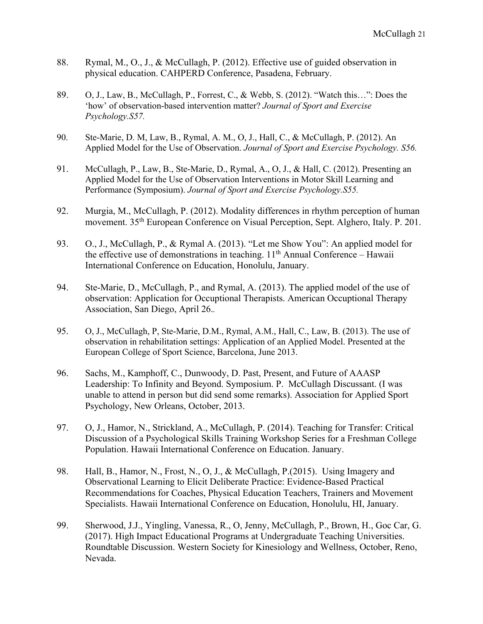- 88. Rymal, M., O., J., & McCullagh, P. (2012). Effective use of guided observation in physical education. CAHPERD Conference, Pasadena, February.
- 89. O, J., Law, B., McCullagh, P., Forrest, C., & Webb, S. (2012). "Watch this…": Does the 'how' of observation-based intervention matter? *Journal of Sport and Exercise Psychology.S57.*
- 90. Ste-Marie, D. M, Law, B., Rymal, A. M., O, J., Hall, C., & McCullagh, P. (2012). An Applied Model for the Use of Observation. *Journal of Sport and Exercise Psychology. S56.*
- 91. McCullagh, P., Law, B., Ste-Marie, D., Rymal, A., O, J., & Hall, C. (2012). Presenting an Applied Model for the Use of Observation Interventions in Motor Skill Learning and Performance (Symposium). *Journal of Sport and Exercise Psychology.S55.*
- 92. Murgia, M., McCullagh, P. (2012). Modality differences in rhythm perception of human movement. 35<sup>th</sup> European Conference on Visual Perception, Sept. Alghero, Italy. P. 201.
- 93. O., J., McCullagh, P., & Rymal A. (2013). "Let me Show You": An applied model for the effective use of demonstrations in teaching.  $11<sup>th</sup>$  Annual Conference – Hawaii International Conference on Education, Honolulu, January.
- 94. Ste-Marie, D., McCullagh, P., and Rymal, A. (2013). The applied model of the use of observation: Application for Occuptional Therapists. American Occuptional Therapy Association, San Diego, April 26.*.*
- 95. O, J., McCullagh, P, Ste-Marie, D.M., Rymal, A.M., Hall, C., Law, B. (2013). The use of observation in rehabilitation settings: Application of an Applied Model. Presented at the European College of Sport Science, Barcelona, June 2013.
- 96. Sachs, M., Kamphoff, C., Dunwoody, D. Past, Present, and Future of AAASP Leadership: To Infinity and Beyond. Symposium. P. McCullagh Discussant. (I was unable to attend in person but did send some remarks). Association for Applied Sport Psychology, New Orleans, October, 2013.
- 97. O, J., Hamor, N., Strickland, A., McCullagh, P. (2014). Teaching for Transfer: Critical Discussion of a Psychological Skills Training Workshop Series for a Freshman College Population. Hawaii International Conference on Education. January.
- 98. Hall, B., Hamor, N., Frost, N., O, J., & McCullagh, P.(2015). Using Imagery and Observational Learning to Elicit Deliberate Practice: Evidence-Based Practical Recommendations for Coaches, Physical Education Teachers, Trainers and Movement Specialists. Hawaii International Conference on Education, Honolulu, HI, January.
- 99. Sherwood, J.J., Yingling, Vanessa, R., O, Jenny, McCullagh, P., Brown, H., Goc Car, G. (2017). High Impact Educational Programs at Undergraduate Teaching Universities. Roundtable Discussion. Western Society for Kinesiology and Wellness, October, Reno, Nevada.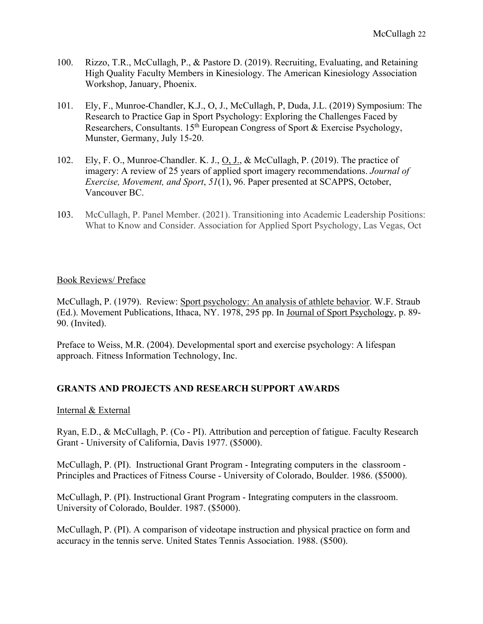- 100. Rizzo, T.R., McCullagh, P., & Pastore D. (2019). Recruiting, Evaluating, and Retaining High Quality Faculty Members in Kinesiology. The American Kinesiology Association Workshop, January, Phoenix.
- 101. Ely, F., Munroe-Chandler, K.J., O, J., McCullagh, P, Duda, J.L. (2019) Symposium: The Research to Practice Gap in Sport Psychology: Exploring the Challenges Faced by Researchers, Consultants. 15<sup>th</sup> European Congress of Sport & Exercise Psychology, Munster, Germany, July 15-20.
- 102. Ely, F. O., Munroe-Chandler. K. J., O., J., & McCullagh, P. (2019). The practice of imagery: A review of 25 years of applied sport imagery recommendations. *Journal of Exercise, Movement, and Sport*, *51*(1), 96. Paper presented at SCAPPS, October, Vancouver BC.
- 103. McCullagh, P. Panel Member. (2021). Transitioning into Academic Leadership Positions: What to Know and Consider. Association for Applied Sport Psychology, Las Vegas, Oct

### Book Reviews/ Preface

McCullagh, P. (1979). Review: Sport psychology: An analysis of athlete behavior. W.F. Straub (Ed.). Movement Publications, Ithaca, NY. 1978, 295 pp. In Journal of Sport Psychology, p. 89- 90. (Invited).

Preface to Weiss, M.R. (2004). Developmental sport and exercise psychology: A lifespan approach. Fitness Information Technology, Inc.

## **GRANTS AND PROJECTS AND RESEARCH SUPPORT AWARDS**

#### Internal & External

Ryan, E.D., & McCullagh, P. (Co - PI). Attribution and perception of fatigue. Faculty Research Grant - University of California, Davis 1977. (\$5000).

McCullagh, P. (PI). Instructional Grant Program - Integrating computers in the classroom - Principles and Practices of Fitness Course - University of Colorado, Boulder. 1986. (\$5000).

McCullagh, P. (PI). Instructional Grant Program - Integrating computers in the classroom. University of Colorado, Boulder. 1987. (\$5000).

McCullagh, P. (PI). A comparison of videotape instruction and physical practice on form and accuracy in the tennis serve. United States Tennis Association. 1988. (\$500).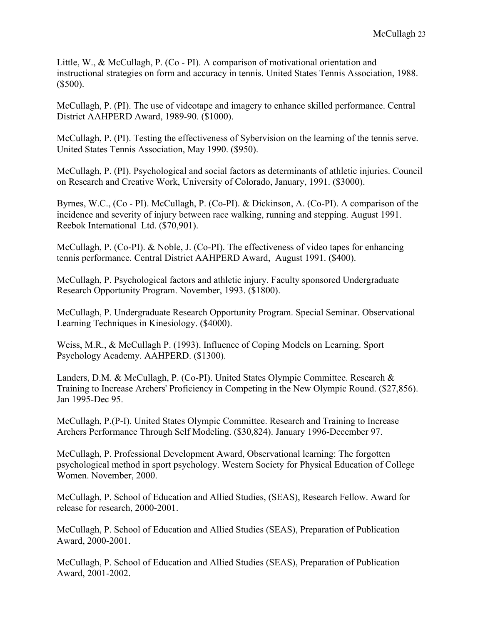Little, W., & McCullagh, P. (Co - PI). A comparison of motivational orientation and instructional strategies on form and accuracy in tennis. United States Tennis Association, 1988. (\$500).

McCullagh, P. (PI). The use of videotape and imagery to enhance skilled performance. Central District AAHPERD Award, 1989-90. (\$1000).

McCullagh, P. (PI). Testing the effectiveness of Sybervision on the learning of the tennis serve. United States Tennis Association, May 1990. (\$950).

McCullagh, P. (PI). Psychological and social factors as determinants of athletic injuries. Council on Research and Creative Work, University of Colorado, January, 1991. (\$3000).

Byrnes, W.C., (Co - PI). McCullagh, P. (Co-PI). & Dickinson, A. (Co-PI). A comparison of the incidence and severity of injury between race walking, running and stepping. August 1991. Reebok International Ltd. (\$70,901).

McCullagh, P. (Co-PI). & Noble, J. (Co-PI). The effectiveness of video tapes for enhancing tennis performance. Central District AAHPERD Award, August 1991. (\$400).

McCullagh, P. Psychological factors and athletic injury. Faculty sponsored Undergraduate Research Opportunity Program. November, 1993. (\$1800).

McCullagh, P. Undergraduate Research Opportunity Program. Special Seminar. Observational Learning Techniques in Kinesiology. (\$4000).

Weiss, M.R., & McCullagh P. (1993). Influence of Coping Models on Learning. Sport Psychology Academy. AAHPERD. (\$1300).

Landers, D.M. & McCullagh, P. (Co-PI). United States Olympic Committee. Research & Training to Increase Archers' Proficiency in Competing in the New Olympic Round. (\$27,856). Jan 1995-Dec 95.

McCullagh, P.(P-I). United States Olympic Committee. Research and Training to Increase Archers Performance Through Self Modeling. (\$30,824). January 1996-December 97.

McCullagh, P. Professional Development Award, Observational learning: The forgotten psychological method in sport psychology. Western Society for Physical Education of College Women. November, 2000.

McCullagh, P. School of Education and Allied Studies, (SEAS), Research Fellow. Award for release for research, 2000-2001.

McCullagh, P. School of Education and Allied Studies (SEAS), Preparation of Publication Award, 2000-2001.

McCullagh, P. School of Education and Allied Studies (SEAS), Preparation of Publication Award, 2001-2002.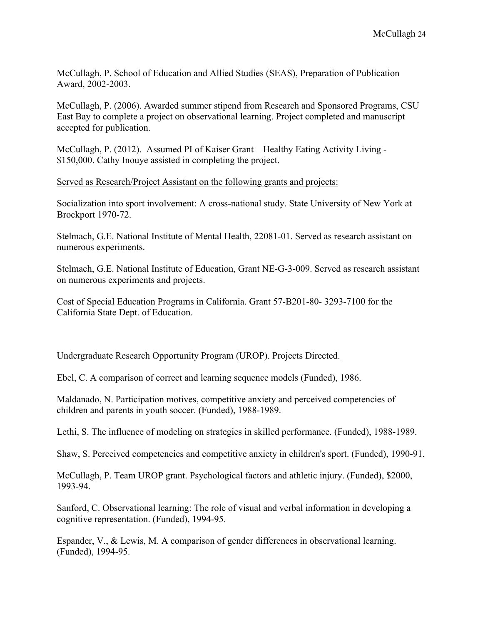McCullagh, P. School of Education and Allied Studies (SEAS), Preparation of Publication Award, 2002-2003.

McCullagh, P. (2006). Awarded summer stipend from Research and Sponsored Programs, CSU East Bay to complete a project on observational learning. Project completed and manuscript accepted for publication.

McCullagh, P. (2012). Assumed PI of Kaiser Grant – Healthy Eating Activity Living - \$150,000. Cathy Inouye assisted in completing the project.

#### Served as Research/Project Assistant on the following grants and projects:

Socialization into sport involvement: A cross-national study. State University of New York at Brockport 1970-72.

Stelmach, G.E. National Institute of Mental Health, 22081-01. Served as research assistant on numerous experiments.

Stelmach, G.E. National Institute of Education, Grant NE-G-3-009. Served as research assistant on numerous experiments and projects.

Cost of Special Education Programs in California. Grant 57-B201-80- 3293-7100 for the California State Dept. of Education.

## Undergraduate Research Opportunity Program (UROP). Projects Directed.

Ebel, C. A comparison of correct and learning sequence models (Funded), 1986.

Maldanado, N. Participation motives, competitive anxiety and perceived competencies of children and parents in youth soccer. (Funded), 1988-1989.

Lethi, S. The influence of modeling on strategies in skilled performance. (Funded), 1988-1989.

Shaw, S. Perceived competencies and competitive anxiety in children's sport. (Funded), 1990-91.

McCullagh, P. Team UROP grant. Psychological factors and athletic injury. (Funded), \$2000, 1993-94.

Sanford, C. Observational learning: The role of visual and verbal information in developing a cognitive representation. (Funded), 1994-95.

Espander, V., & Lewis, M. A comparison of gender differences in observational learning. (Funded), 1994-95.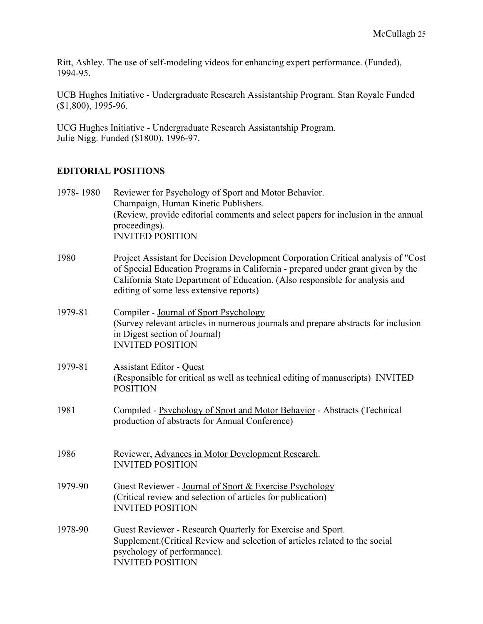Ritt, Ashley. The use of self-modeling videos for enhancing expert performance. (Funded), 1994-95.

UCB Hughes Initiative - Undergraduate Research Assistantship Program. Stan Royale Funded  $(1,800)$ , 1995-96.

UCG Hughes Initiative - Undergraduate Research Assistantship Program. Julie Nigg. Funded (\$1800). 1996-97.

## **EDITORIAL POSITIONS**

| 1978-1980 | Reviewer for Psychology of Sport and Motor Behavior.<br>Champaign, Human Kinetic Publishers.<br>(Review, provide editorial comments and select papers for inclusion in the annual<br>proceedings).<br><b>INVITED POSITION</b>                                                                    |
|-----------|--------------------------------------------------------------------------------------------------------------------------------------------------------------------------------------------------------------------------------------------------------------------------------------------------|
| 1980      | Project Assistant for Decision Development Corporation Critical analysis of "Cost"<br>of Special Education Programs in California - prepared under grant given by the<br>California State Department of Education. (Also responsible for analysis and<br>editing of some less extensive reports) |
| 1979-81   | Compiler - Journal of Sport Psychology<br>(Survey relevant articles in numerous journals and prepare abstracts for inclusion<br>in Digest section of Journal)<br><b>INVITED POSITION</b>                                                                                                         |
| 1979-81   | <b>Assistant Editor - Quest</b><br>(Responsible for critical as well as technical editing of manuscripts) INVITED<br><b>POSITION</b>                                                                                                                                                             |
| 1981      | Compiled - Psychology of Sport and Motor Behavior - Abstracts (Technical<br>production of abstracts for Annual Conference)                                                                                                                                                                       |
| 1986      | Reviewer, Advances in Motor Development Research.<br><b>INVITED POSITION</b>                                                                                                                                                                                                                     |
| 1979-90   | Guest Reviewer - Journal of Sport & Exercise Psychology<br>(Critical review and selection of articles for publication)<br><b>INVITED POSITION</b>                                                                                                                                                |
| 1978-90   | Guest Reviewer - Research Quarterly for Exercise and Sport.<br>Supplement. (Critical Review and selection of articles related to the social<br>psychology of performance).<br><b>INVITED POSITION</b>                                                                                            |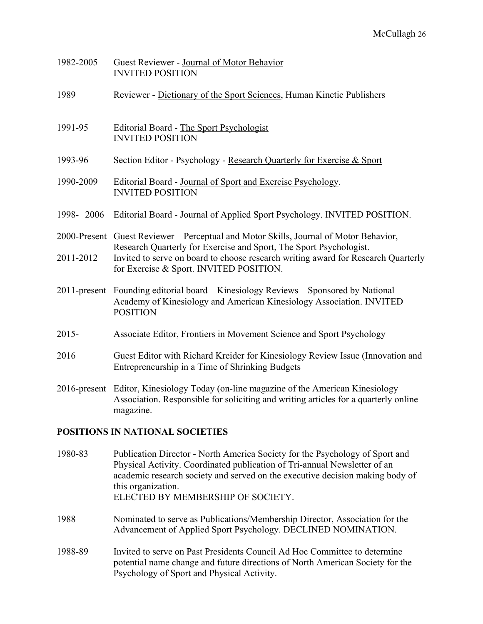- 1982-2005 Guest Reviewer Journal of Motor Behavior INVITED POSITION
- 1989 Reviewer Dictionary of the Sport Sciences, Human Kinetic Publishers
- 1991-95 Editorial Board The Sport Psychologist INVITED POSITION
- 1993-96 Section Editor Psychology Research Quarterly for Exercise & Sport
- 1990-2009 Editorial Board Journal of Sport and Exercise Psychology. INVITED POSITION
- 1998- 2006 Editorial Board Journal of Applied Sport Psychology. INVITED POSITION.
- 2000-Present Guest Reviewer Perceptual and Motor Skills, Journal of Motor Behavior, Research Quarterly for Exercise and Sport, The Sport Psychologist. 2011-2012 Invited to serve on board to choose research writing award for Research Quarterly for Exercise & Sport. INVITED POSITION.
- 2011-present Founding editorial board Kinesiology Reviews Sponsored by National Academy of Kinesiology and American Kinesiology Association. INVITED POSITION
- 2015- Associate Editor, Frontiers in Movement Science and Sport Psychology
- 2016 Guest Editor with Richard Kreider for Kinesiology Review Issue (Innovation and Entrepreneurship in a Time of Shrinking Budgets
- 2016-present Editor, Kinesiology Today (on-line magazine of the American Kinesiology Association. Responsible for soliciting and writing articles for a quarterly online magazine.

#### **POSITIONS IN NATIONAL SOCIETIES**

- 1980-83 Publication Director North America Society for the Psychology of Sport and Physical Activity. Coordinated publication of Tri-annual Newsletter of an academic research society and served on the executive decision making body of this organization. ELECTED BY MEMBERSHIP OF SOCIETY.
- 1988 Nominated to serve as Publications/Membership Director, Association for the Advancement of Applied Sport Psychology. DECLINED NOMINATION.
- 1988-89 Invited to serve on Past Presidents Council Ad Hoc Committee to determine potential name change and future directions of North American Society for the Psychology of Sport and Physical Activity.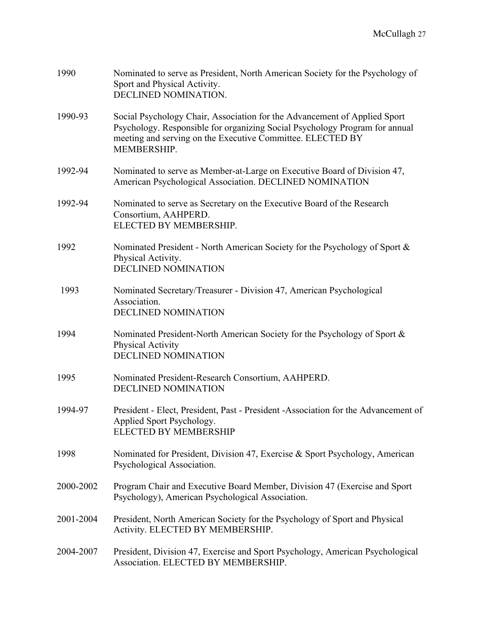| 1990      | Nominated to serve as President, North American Society for the Psychology of<br>Sport and Physical Activity.<br>DECLINED NOMINATION.                                                                                                 |
|-----------|---------------------------------------------------------------------------------------------------------------------------------------------------------------------------------------------------------------------------------------|
| 1990-93   | Social Psychology Chair, Association for the Advancement of Applied Sport<br>Psychology. Responsible for organizing Social Psychology Program for annual<br>meeting and serving on the Executive Committee. ELECTED BY<br>MEMBERSHIP. |
| 1992-94   | Nominated to serve as Member-at-Large on Executive Board of Division 47,<br>American Psychological Association. DECLINED NOMINATION                                                                                                   |
| 1992-94   | Nominated to serve as Secretary on the Executive Board of the Research<br>Consortium, AAHPERD.<br>ELECTED BY MEMBERSHIP.                                                                                                              |
| 1992      | Nominated President - North American Society for the Psychology of Sport &<br>Physical Activity.<br><b>DECLINED NOMINATION</b>                                                                                                        |
| 1993      | Nominated Secretary/Treasurer - Division 47, American Psychological<br>Association.<br>DECLINED NOMINATION                                                                                                                            |
| 1994      | Nominated President-North American Society for the Psychology of Sport &<br>Physical Activity<br><b>DECLINED NOMINATION</b>                                                                                                           |
| 1995      | Nominated President-Research Consortium, AAHPERD.<br><b>DECLINED NOMINATION</b>                                                                                                                                                       |
| 1994-97   | President - Elect, President, Past - President -Association for the Advancement of<br>Applied Sport Psychology.<br><b>ELECTED BY MEMBERSHIP</b>                                                                                       |
| 1998      | Nominated for President, Division 47, Exercise & Sport Psychology, American<br>Psychological Association.                                                                                                                             |
| 2000-2002 | Program Chair and Executive Board Member, Division 47 (Exercise and Sport<br>Psychology), American Psychological Association.                                                                                                         |
| 2001-2004 | President, North American Society for the Psychology of Sport and Physical<br>Activity. ELECTED BY MEMBERSHIP.                                                                                                                        |
| 2004-2007 | President, Division 47, Exercise and Sport Psychology, American Psychological<br>Association. ELECTED BY MEMBERSHIP.                                                                                                                  |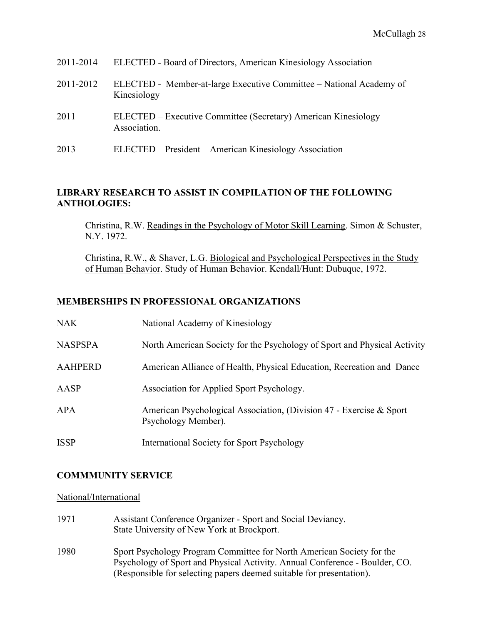- 2011-2014 ELECTED Board of Directors, American Kinesiology Association
- 2011-2012 ELECTED Member-at-large Executive Committee National Academy of Kinesiology
- 2011 ELECTED Executive Committee (Secretary) American Kinesiology Association.
- 2013 ELECTED President American Kinesiology Association

### **LIBRARY RESEARCH TO ASSIST IN COMPILATION OF THE FOLLOWING ANTHOLOGIES:**

Christina, R.W. Readings in the Psychology of Motor Skill Learning. Simon & Schuster, N.Y. 1972.

Christina, R.W., & Shaver, L.G. Biological and Psychological Perspectives in the Study of Human Behavior. Study of Human Behavior. Kendall/Hunt: Dubuque, 1972.

#### **MEMBERSHIPS IN PROFESSIONAL ORGANIZATIONS**

| <b>NAK</b>     | National Academy of Kinesiology                                                            |
|----------------|--------------------------------------------------------------------------------------------|
| <b>NASPSPA</b> | North American Society for the Psychology of Sport and Physical Activity                   |
| <b>AAHPERD</b> | American Alliance of Health, Physical Education, Recreation and Dance                      |
| AASP           | Association for Applied Sport Psychology.                                                  |
| <b>APA</b>     | American Psychological Association, (Division 47 - Exercise & Sport<br>Psychology Member). |
| <b>ISSP</b>    | International Society for Sport Psychology                                                 |

#### **COMMMUNITY SERVICE**

#### National/International

| 1971 | Assistant Conference Organizer - Sport and Social Deviancy.<br>State University of New York at Brockport.                                                                                                                    |
|------|------------------------------------------------------------------------------------------------------------------------------------------------------------------------------------------------------------------------------|
| 1980 | Sport Psychology Program Committee for North American Society for the<br>Psychology of Sport and Physical Activity. Annual Conference - Boulder, CO.<br>(Responsible for selecting papers deemed suitable for presentation). |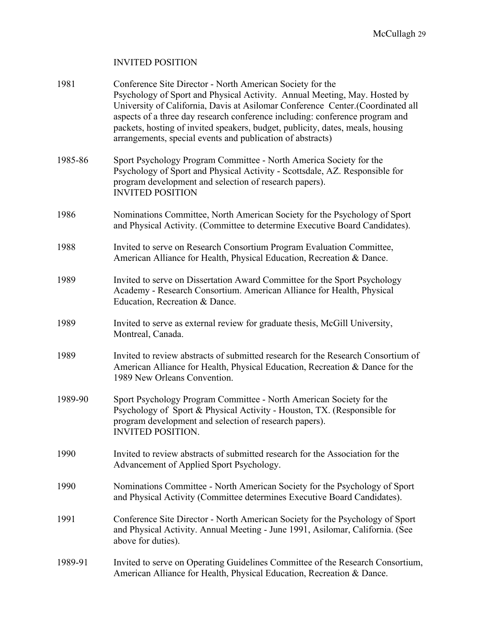## INVITED POSITION

| 1981    | Conference Site Director - North American Society for the<br>Psychology of Sport and Physical Activity. Annual Meeting, May. Hosted by<br>University of California, Davis at Asilomar Conference Center.(Coordinated all<br>aspects of a three day research conference including: conference program and<br>packets, hosting of invited speakers, budget, publicity, dates, meals, housing<br>arrangements, special events and publication of abstracts) |
|---------|----------------------------------------------------------------------------------------------------------------------------------------------------------------------------------------------------------------------------------------------------------------------------------------------------------------------------------------------------------------------------------------------------------------------------------------------------------|
| 1985-86 | Sport Psychology Program Committee - North America Society for the<br>Psychology of Sport and Physical Activity - Scottsdale, AZ. Responsible for<br>program development and selection of research papers).<br><b>INVITED POSITION</b>                                                                                                                                                                                                                   |
| 1986    | Nominations Committee, North American Society for the Psychology of Sport<br>and Physical Activity. (Committee to determine Executive Board Candidates).                                                                                                                                                                                                                                                                                                 |
| 1988    | Invited to serve on Research Consortium Program Evaluation Committee,<br>American Alliance for Health, Physical Education, Recreation & Dance.                                                                                                                                                                                                                                                                                                           |
| 1989    | Invited to serve on Dissertation Award Committee for the Sport Psychology<br>Academy - Research Consortium. American Alliance for Health, Physical<br>Education, Recreation & Dance.                                                                                                                                                                                                                                                                     |
| 1989    | Invited to serve as external review for graduate thesis, McGill University,<br>Montreal, Canada.                                                                                                                                                                                                                                                                                                                                                         |
| 1989    | Invited to review abstracts of submitted research for the Research Consortium of<br>American Alliance for Health, Physical Education, Recreation & Dance for the<br>1989 New Orleans Convention.                                                                                                                                                                                                                                                         |
| 1989-90 | Sport Psychology Program Committee - North American Society for the<br>Psychology of Sport & Physical Activity - Houston, TX. (Responsible for<br>program development and selection of research papers).<br><b>INVITED POSITION</b>                                                                                                                                                                                                                      |
| 1990    | Invited to review abstracts of submitted research for the Association for the<br>Advancement of Applied Sport Psychology.                                                                                                                                                                                                                                                                                                                                |
| 1990    | Nominations Committee - North American Society for the Psychology of Sport<br>and Physical Activity (Committee determines Executive Board Candidates).                                                                                                                                                                                                                                                                                                   |
| 1991    | Conference Site Director - North American Society for the Psychology of Sport<br>and Physical Activity. Annual Meeting - June 1991, Asilomar, California. (See<br>above for duties).                                                                                                                                                                                                                                                                     |
| 1989-91 | Invited to serve on Operating Guidelines Committee of the Research Consortium,<br>American Alliance for Health, Physical Education, Recreation & Dance.                                                                                                                                                                                                                                                                                                  |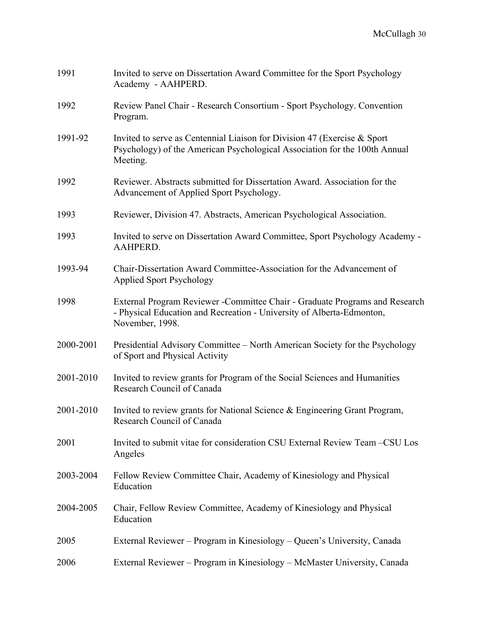| 1991      | Invited to serve on Dissertation Award Committee for the Sport Psychology<br>Academy - AAHPERD.                                                                          |
|-----------|--------------------------------------------------------------------------------------------------------------------------------------------------------------------------|
| 1992      | Review Panel Chair - Research Consortium - Sport Psychology. Convention<br>Program.                                                                                      |
| 1991-92   | Invited to serve as Centennial Liaison for Division 47 (Exercise & Sport<br>Psychology) of the American Psychological Association for the 100th Annual<br>Meeting.       |
| 1992      | Reviewer. Abstracts submitted for Dissertation Award. Association for the<br>Advancement of Applied Sport Psychology.                                                    |
| 1993      | Reviewer, Division 47. Abstracts, American Psychological Association.                                                                                                    |
| 1993      | Invited to serve on Dissertation Award Committee, Sport Psychology Academy -<br>AAHPERD.                                                                                 |
| 1993-94   | Chair-Dissertation Award Committee-Association for the Advancement of<br><b>Applied Sport Psychology</b>                                                                 |
| 1998      | External Program Reviewer - Committee Chair - Graduate Programs and Research<br>- Physical Education and Recreation - University of Alberta-Edmonton,<br>November, 1998. |
| 2000-2001 | Presidential Advisory Committee – North American Society for the Psychology<br>of Sport and Physical Activity                                                            |
| 2001-2010 | Invited to review grants for Program of the Social Sciences and Humanities<br>Research Council of Canada                                                                 |
| 2001-2010 | Invited to review grants for National Science & Engineering Grant Program,<br>Research Council of Canada                                                                 |
| 2001      | Invited to submit vitae for consideration CSU External Review Team – CSU Los<br>Angeles                                                                                  |
| 2003-2004 | Fellow Review Committee Chair, Academy of Kinesiology and Physical<br>Education                                                                                          |
| 2004-2005 | Chair, Fellow Review Committee, Academy of Kinesiology and Physical<br>Education                                                                                         |
| 2005      | External Reviewer – Program in Kinesiology – Queen's University, Canada                                                                                                  |
| 2006      | External Reviewer - Program in Kinesiology - McMaster University, Canada                                                                                                 |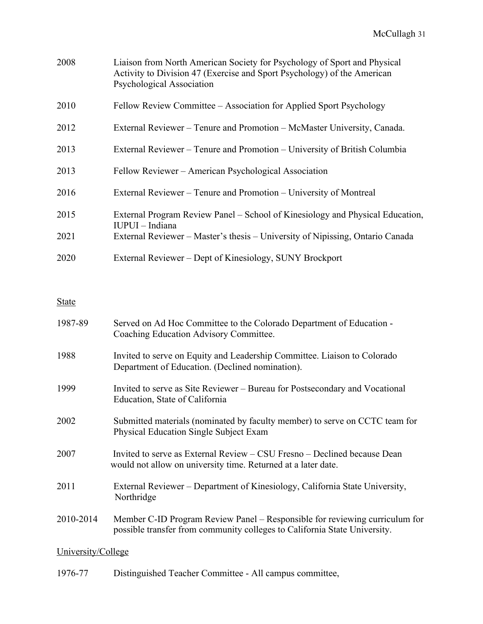| 2008 | Liaison from North American Society for Psychology of Sport and Physical<br>Activity to Division 47 (Exercise and Sport Psychology) of the American<br>Psychological Association |
|------|----------------------------------------------------------------------------------------------------------------------------------------------------------------------------------|
| 2010 | Fellow Review Committee - Association for Applied Sport Psychology                                                                                                               |
| 2012 | External Reviewer - Tenure and Promotion - McMaster University, Canada.                                                                                                          |
| 2013 | External Reviewer – Tenure and Promotion – University of British Columbia                                                                                                        |
| 2013 | Fellow Reviewer – American Psychological Association                                                                                                                             |
| 2016 | External Reviewer – Tenure and Promotion – University of Montreal                                                                                                                |
| 2015 | External Program Review Panel – School of Kinesiology and Physical Education,                                                                                                    |
| 2021 | IUPUI - Indiana<br>External Reviewer – Master's thesis – University of Nipissing, Ontario Canada                                                                                 |
| 2020 | External Reviewer – Dept of Kinesiology, SUNY Brockport                                                                                                                          |

## **State**

| 1987-89            | Served on Ad Hoc Committee to the Colorado Department of Education -<br>Coaching Education Advisory Committee.                                           |
|--------------------|----------------------------------------------------------------------------------------------------------------------------------------------------------|
| 1988               | Invited to serve on Equity and Leadership Committee. Liaison to Colorado<br>Department of Education. (Declined nomination).                              |
| 1999               | Invited to serve as Site Reviewer – Bureau for Postsecondary and Vocational<br>Education, State of California                                            |
| 2002               | Submitted materials (nominated by faculty member) to serve on CCTC team for<br>Physical Education Single Subject Exam                                    |
| 2007               | Invited to serve as External Review – CSU Fresno – Declined because Dean<br>would not allow on university time. Returned at a later date.                |
| 2011               | External Reviewer – Department of Kinesiology, California State University,<br>Northridge                                                                |
| 2010-2014          | Member C-ID Program Review Panel – Responsible for reviewing curriculum for<br>possible transfer from community colleges to California State University. |
| University/College |                                                                                                                                                          |

1976-77 Distinguished Teacher Committee - All campus committee,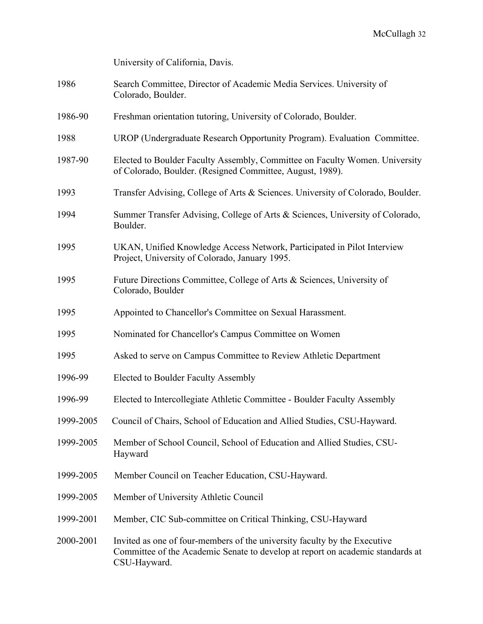|           | University of California, Davis.                                                                                                                                            |
|-----------|-----------------------------------------------------------------------------------------------------------------------------------------------------------------------------|
| 1986      | Search Committee, Director of Academic Media Services. University of<br>Colorado, Boulder.                                                                                  |
| 1986-90   | Freshman orientation tutoring, University of Colorado, Boulder.                                                                                                             |
| 1988      | UROP (Undergraduate Research Opportunity Program). Evaluation Committee.                                                                                                    |
| 1987-90   | Elected to Boulder Faculty Assembly, Committee on Faculty Women. University<br>of Colorado, Boulder. (Resigned Committee, August, 1989).                                    |
| 1993      | Transfer Advising, College of Arts & Sciences. University of Colorado, Boulder.                                                                                             |
| 1994      | Summer Transfer Advising, College of Arts & Sciences, University of Colorado,<br>Boulder.                                                                                   |
| 1995      | UKAN, Unified Knowledge Access Network, Participated in Pilot Interview<br>Project, University of Colorado, January 1995.                                                   |
| 1995      | Future Directions Committee, College of Arts & Sciences, University of<br>Colorado, Boulder                                                                                 |
| 1995      | Appointed to Chancellor's Committee on Sexual Harassment.                                                                                                                   |
| 1995      | Nominated for Chancellor's Campus Committee on Women                                                                                                                        |
| 1995      | Asked to serve on Campus Committee to Review Athletic Department                                                                                                            |
| 1996-99   | <b>Elected to Boulder Faculty Assembly</b>                                                                                                                                  |
| 1996-99   | Elected to Intercollegiate Athletic Committee - Boulder Faculty Assembly                                                                                                    |
| 1999-2005 | Council of Chairs, School of Education and Allied Studies, CSU-Hayward.                                                                                                     |
| 1999-2005 | Member of School Council, School of Education and Allied Studies, CSU-<br>Hayward                                                                                           |
| 1999-2005 | Member Council on Teacher Education, CSU-Hayward.                                                                                                                           |
| 1999-2005 | Member of University Athletic Council                                                                                                                                       |
| 1999-2001 | Member, CIC Sub-committee on Critical Thinking, CSU-Hayward                                                                                                                 |
| 2000-2001 | Invited as one of four-members of the university faculty by the Executive<br>Committee of the Academic Senate to develop at report on academic standards at<br>CSU-Hayward. |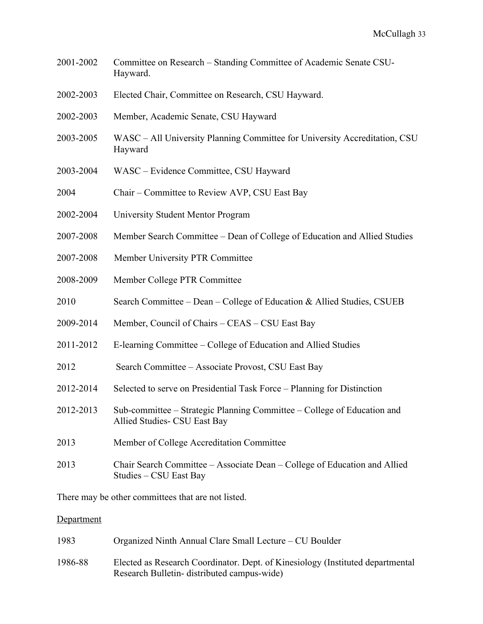- 2001-2002 Committee on Research Standing Committee of Academic Senate CSU-Hayward.
- 2002-2003 Elected Chair, Committee on Research, CSU Hayward.
- 2002-2003 Member, Academic Senate, CSU Hayward
- 2003-2005 WASC All University Planning Committee for University Accreditation, CSU Hayward
- 2003-2004 WASC Evidence Committee, CSU Hayward
- 2004 Chair Committee to Review AVP, CSU East Bay
- 2002-2004 University Student Mentor Program
- 2007-2008 Member Search Committee Dean of College of Education and Allied Studies
- 2007-2008 Member University PTR Committee
- 2008-2009 Member College PTR Committee
- 2010 Search Committee Dean College of Education & Allied Studies, CSUEB
- 2009-2014 Member, Council of Chairs CEAS CSU East Bay
- 2011-2012 E-learning Committee College of Education and Allied Studies
- 2012 Search Committee Associate Provost, CSU East Bay
- 2012-2014 Selected to serve on Presidential Task Force Planning for Distinction
- 2012-2013 Sub-committee Strategic Planning Committee College of Education and Allied Studies- CSU East Bay
- 2013 Member of College Accreditation Committee
- 2013 Chair Search Committee Associate Dean College of Education and Allied Studies – CSU East Bay

There may be other committees that are not listed.

#### Department

| 1983    | Organized Ninth Annual Clare Small Lecture – CU Boulder                                                                       |
|---------|-------------------------------------------------------------------------------------------------------------------------------|
| 1986-88 | Elected as Research Coordinator. Dept. of Kinesiology (Instituted departmental<br>Research Bulletin- distributed campus-wide) |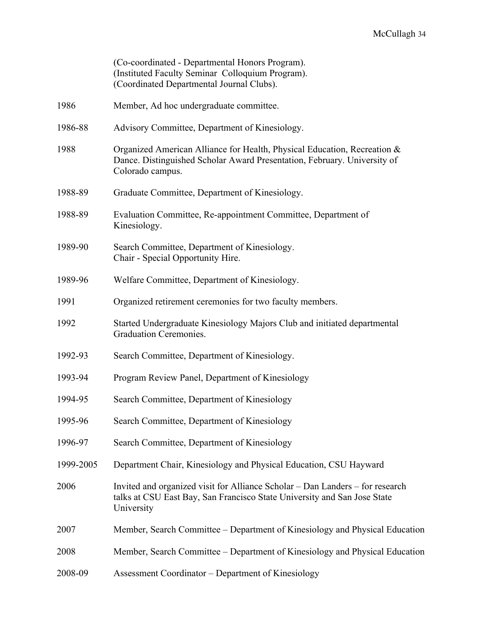|           | (Co-coordinated - Departmental Honors Program).<br>(Instituted Faculty Seminar Colloquium Program).<br>(Coordinated Departmental Journal Clubs).                         |
|-----------|--------------------------------------------------------------------------------------------------------------------------------------------------------------------------|
| 1986      | Member, Ad hoc undergraduate committee.                                                                                                                                  |
| 1986-88   | Advisory Committee, Department of Kinesiology.                                                                                                                           |
| 1988      | Organized American Alliance for Health, Physical Education, Recreation &<br>Dance. Distinguished Scholar Award Presentation, February. University of<br>Colorado campus. |
| 1988-89   | Graduate Committee, Department of Kinesiology.                                                                                                                           |
| 1988-89   | Evaluation Committee, Re-appointment Committee, Department of<br>Kinesiology.                                                                                            |
| 1989-90   | Search Committee, Department of Kinesiology.<br>Chair - Special Opportunity Hire.                                                                                        |
| 1989-96   | Welfare Committee, Department of Kinesiology.                                                                                                                            |
| 1991      | Organized retirement ceremonies for two faculty members.                                                                                                                 |
| 1992      | Started Undergraduate Kinesiology Majors Club and initiated departmental<br><b>Graduation Ceremonies.</b>                                                                |
| 1992-93   | Search Committee, Department of Kinesiology.                                                                                                                             |
| 1993-94   | Program Review Panel, Department of Kinesiology                                                                                                                          |
| 1994-95   | Search Committee, Department of Kinesiology                                                                                                                              |
| 1995-96   | Search Committee, Department of Kinesiology                                                                                                                              |
| 1996-97   | Search Committee, Department of Kinesiology                                                                                                                              |
| 1999-2005 | Department Chair, Kinesiology and Physical Education, CSU Hayward                                                                                                        |
| 2006      | Invited and organized visit for Alliance Scholar – Dan Landers – for research<br>talks at CSU East Bay, San Francisco State University and San Jose State<br>University  |
| 2007      | Member, Search Committee – Department of Kinesiology and Physical Education                                                                                              |
| 2008      | Member, Search Committee - Department of Kinesiology and Physical Education                                                                                              |
| 2008-09   | Assessment Coordinator – Department of Kinesiology                                                                                                                       |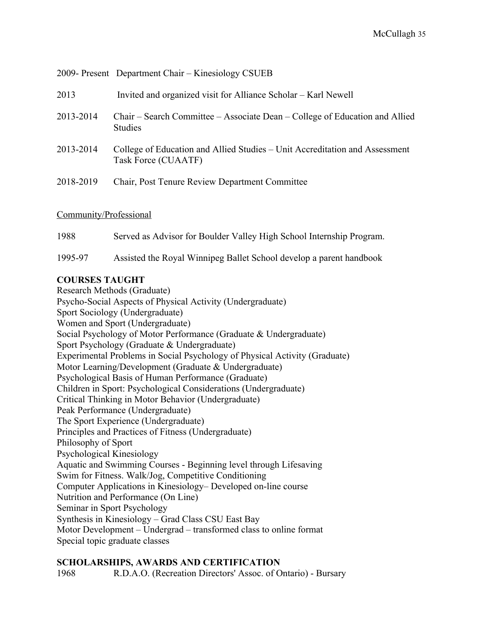|  | 2009- Present Department Chair - Kinesiology CSUEB |  |  |
|--|----------------------------------------------------|--|--|
|--|----------------------------------------------------|--|--|

| 2013 | Invited and organized visit for Alliance Scholar - Karl Newell |
|------|----------------------------------------------------------------|
|------|----------------------------------------------------------------|

- 2013-2014 Chair Search Committee Associate Dean College of Education and Allied Studies
- 2013-2014 College of Education and Allied Studies Unit Accreditation and Assessment Task Force (CUAATF)
- 2018-2019 Chair, Post Tenure Review Department Committee

#### Community/Professional

| 1988    | Served as Advisor for Boulder Valley High School Internship Program. |
|---------|----------------------------------------------------------------------|
| 1995-97 | Assisted the Royal Winnipeg Ballet School develop a parent handbook  |

## **COURSES TAUGHT**

Research Methods (Graduate) Psycho-Social Aspects of Physical Activity (Undergraduate) Sport Sociology (Undergraduate) Women and Sport (Undergraduate) Social Psychology of Motor Performance (Graduate & Undergraduate) Sport Psychology (Graduate & Undergraduate) Experimental Problems in Social Psychology of Physical Activity (Graduate) Motor Learning/Development (Graduate & Undergraduate) Psychological Basis of Human Performance (Graduate) Children in Sport: Psychological Considerations (Undergraduate) Critical Thinking in Motor Behavior (Undergraduate) Peak Performance (Undergraduate) The Sport Experience (Undergraduate) Principles and Practices of Fitness (Undergraduate) Philosophy of Sport Psychological Kinesiology Aquatic and Swimming Courses - Beginning level through Lifesaving Swim for Fitness. Walk/Jog, Competitive Conditioning Computer Applications in Kinesiology– Developed on-line course Nutrition and Performance (On Line) Seminar in Sport Psychology Synthesis in Kinesiology – Grad Class CSU East Bay Motor Development – Undergrad – transformed class to online format Special topic graduate classes

#### **SCHOLARSHIPS, AWARDS AND CERTIFICATION**

1968 R.D.A.O. (Recreation Directors' Assoc. of Ontario) - Bursary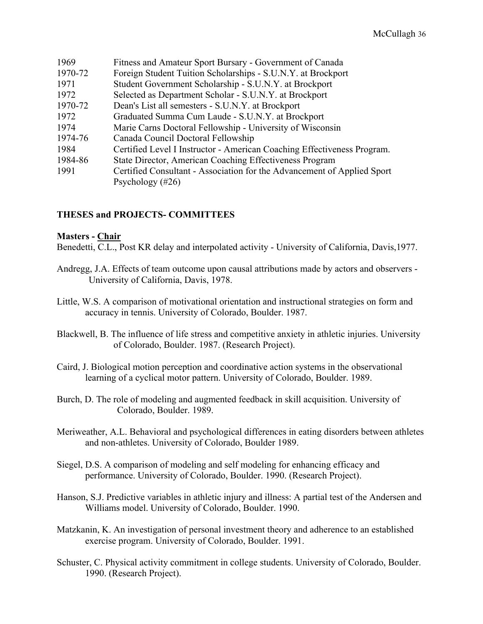| 1969    | Fitness and Amateur Sport Bursary - Government of Canada                |
|---------|-------------------------------------------------------------------------|
| 1970-72 | Foreign Student Tuition Scholarships - S.U.N.Y. at Brockport            |
| 1971    | Student Government Scholarship - S.U.N.Y. at Brockport                  |
| 1972    | Selected as Department Scholar - S.U.N.Y. at Brockport                  |
| 1970-72 | Dean's List all semesters - S.U.N.Y. at Brockport                       |
| 1972    | Graduated Summa Cum Laude - S.U.N.Y. at Brockport                       |
| 1974    | Marie Carns Doctoral Fellowship - University of Wisconsin               |
| 1974-76 | Canada Council Doctoral Fellowship                                      |
| 1984    | Certified Level I Instructor - American Coaching Effectiveness Program. |
| 1984-86 | State Director, American Coaching Effectiveness Program                 |
| 1991    | Certified Consultant - Association for the Advancement of Applied Sport |
|         | Psychology $(\#26)$                                                     |

### **THESES and PROJECTS- COMMITTEES**

#### **Masters - Chair**

Benedetti, C.L., Post KR delay and interpolated activity - University of California, Davis,1977.

- Andregg, J.A. Effects of team outcome upon causal attributions made by actors and observers University of California, Davis, 1978.
- Little, W.S. A comparison of motivational orientation and instructional strategies on form and accuracy in tennis. University of Colorado, Boulder. 1987.

Blackwell, B. The influence of life stress and competitive anxiety in athletic injuries. University of Colorado, Boulder. 1987. (Research Project).

- Caird, J. Biological motion perception and coordinative action systems in the observational learning of a cyclical motor pattern. University of Colorado, Boulder. 1989.
- Burch, D. The role of modeling and augmented feedback in skill acquisition. University of Colorado, Boulder. 1989.
- Meriweather, A.L. Behavioral and psychological differences in eating disorders between athletes and non-athletes. University of Colorado, Boulder 1989.
- Siegel, D.S. A comparison of modeling and self modeling for enhancing efficacy and performance. University of Colorado, Boulder. 1990. (Research Project).
- Hanson, S.J. Predictive variables in athletic injury and illness: A partial test of the Andersen and Williams model. University of Colorado, Boulder. 1990.
- Matzkanin, K. An investigation of personal investment theory and adherence to an established exercise program. University of Colorado, Boulder. 1991.
- Schuster, C. Physical activity commitment in college students. University of Colorado, Boulder. 1990. (Research Project).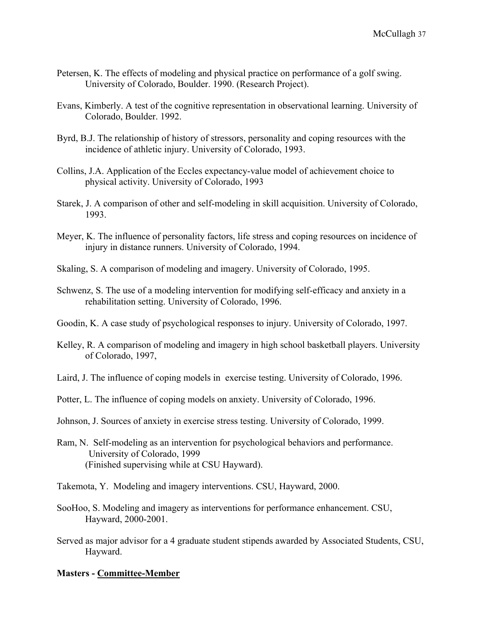- Petersen, K. The effects of modeling and physical practice on performance of a golf swing. University of Colorado, Boulder. 1990. (Research Project).
- Evans, Kimberly. A test of the cognitive representation in observational learning. University of Colorado, Boulder. 1992.
- Byrd, B.J. The relationship of history of stressors, personality and coping resources with the incidence of athletic injury. University of Colorado, 1993.
- Collins, J.A. Application of the Eccles expectancy-value model of achievement choice to physical activity. University of Colorado, 1993
- Starek, J. A comparison of other and self-modeling in skill acquisition. University of Colorado, 1993.
- Meyer, K. The influence of personality factors, life stress and coping resources on incidence of injury in distance runners. University of Colorado, 1994.
- Skaling, S. A comparison of modeling and imagery. University of Colorado, 1995.
- Schwenz, S. The use of a modeling intervention for modifying self-efficacy and anxiety in a rehabilitation setting. University of Colorado, 1996.
- Goodin, K. A case study of psychological responses to injury. University of Colorado, 1997.
- Kelley, R. A comparison of modeling and imagery in high school basketball players. University of Colorado, 1997,
- Laird, J. The influence of coping models in exercise testing. University of Colorado, 1996.
- Potter, L. The influence of coping models on anxiety. University of Colorado, 1996.
- Johnson, J. Sources of anxiety in exercise stress testing. University of Colorado, 1999.
- Ram, N. Self-modeling as an intervention for psychological behaviors and performance. University of Colorado, 1999 (Finished supervising while at CSU Hayward).

#### Takemota, Y. Modeling and imagery interventions. CSU, Hayward, 2000.

- SooHoo, S. Modeling and imagery as interventions for performance enhancement. CSU, Hayward, 2000-2001.
- Served as major advisor for a 4 graduate student stipends awarded by Associated Students, CSU, Hayward.

#### **Masters - Committee-Member**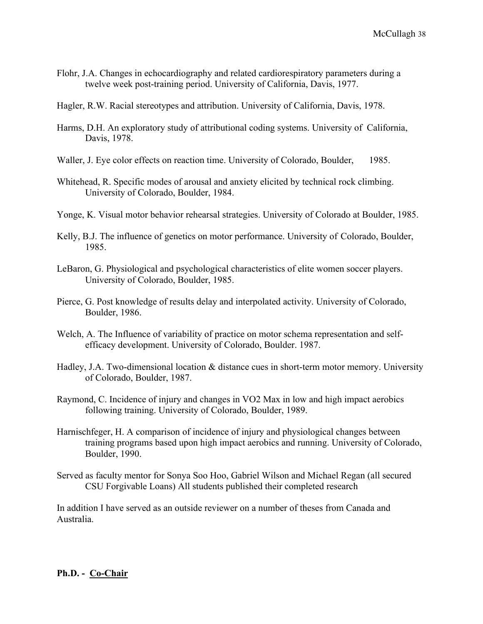- Flohr, J.A. Changes in echocardiography and related cardiorespiratory parameters during a twelve week post-training period. University of California, Davis, 1977.
- Hagler, R.W. Racial stereotypes and attribution. University of California, Davis, 1978.
- Harms, D.H. An exploratory study of attributional coding systems. University of California, Davis, 1978.
- Waller, J. Eye color effects on reaction time. University of Colorado, Boulder, 1985.
- Whitehead, R. Specific modes of arousal and anxiety elicited by technical rock climbing. University of Colorado, Boulder, 1984.
- Yonge, K. Visual motor behavior rehearsal strategies. University of Colorado at Boulder, 1985.
- Kelly, B.J. The influence of genetics on motor performance. University of Colorado, Boulder, 1985.
- LeBaron, G. Physiological and psychological characteristics of elite women soccer players. University of Colorado, Boulder, 1985.
- Pierce, G. Post knowledge of results delay and interpolated activity. University of Colorado, Boulder, 1986.
- Welch, A. The Influence of variability of practice on motor schema representation and selfefficacy development. University of Colorado, Boulder. 1987.
- Hadley, J.A. Two-dimensional location & distance cues in short-term motor memory. University of Colorado, Boulder, 1987.
- Raymond, C. Incidence of injury and changes in VO2 Max in low and high impact aerobics following training. University of Colorado, Boulder, 1989.
- Harnischfeger, H. A comparison of incidence of injury and physiological changes between training programs based upon high impact aerobics and running. University of Colorado, Boulder, 1990.
- Served as faculty mentor for Sonya Soo Hoo, Gabriel Wilson and Michael Regan (all secured CSU Forgivable Loans) All students published their completed research

In addition I have served as an outside reviewer on a number of theses from Canada and Australia.

**Ph.D. - Co-Chair**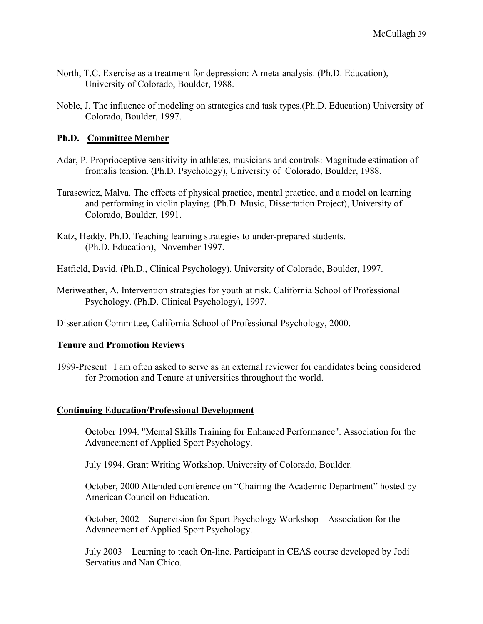- North, T.C. Exercise as a treatment for depression: A meta-analysis. (Ph.D. Education), University of Colorado, Boulder, 1988.
- Noble, J. The influence of modeling on strategies and task types.(Ph.D. Education) University of Colorado, Boulder, 1997.

#### **Ph.D.** - **Committee Member**

- Adar, P. Proprioceptive sensitivity in athletes, musicians and controls: Magnitude estimation of frontalis tension. (Ph.D. Psychology), University of Colorado, Boulder, 1988.
- Tarasewicz, Malva. The effects of physical practice, mental practice, and a model on learning and performing in violin playing. (Ph.D. Music, Dissertation Project), University of Colorado, Boulder, 1991.
- Katz, Heddy. Ph.D. Teaching learning strategies to under-prepared students. (Ph.D. Education), November 1997.
- Hatfield, David. (Ph.D., Clinical Psychology). University of Colorado, Boulder, 1997.
- Meriweather, A. Intervention strategies for youth at risk. California School of Professional Psychology. (Ph.D. Clinical Psychology), 1997.

Dissertation Committee, California School of Professional Psychology, 2000.

#### **Tenure and Promotion Reviews**

1999-Present I am often asked to serve as an external reviewer for candidates being considered for Promotion and Tenure at universities throughout the world.

#### **Continuing Education/Professional Development**

October 1994. "Mental Skills Training for Enhanced Performance". Association for the Advancement of Applied Sport Psychology.

July 1994. Grant Writing Workshop. University of Colorado, Boulder.

October, 2000 Attended conference on "Chairing the Academic Department" hosted by American Council on Education.

October, 2002 – Supervision for Sport Psychology Workshop – Association for the Advancement of Applied Sport Psychology.

July 2003 – Learning to teach On-line. Participant in CEAS course developed by Jodi Servatius and Nan Chico.